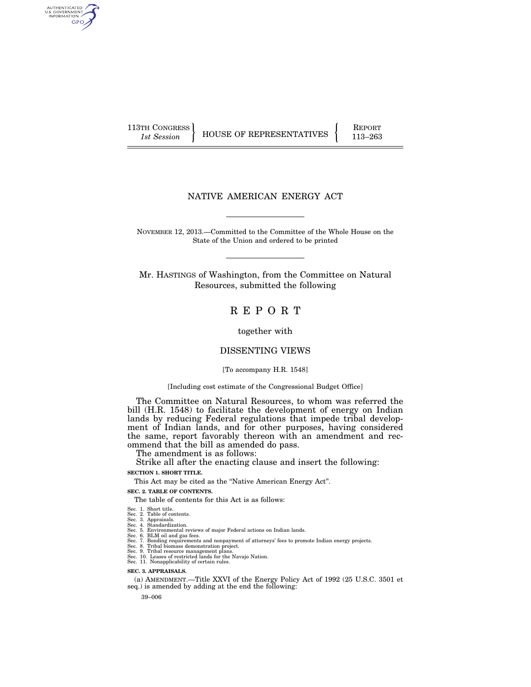AUTHENTICATED<br>U.S. GOVERNMENT<br>INFORMATION **GPO** 

113TH CONGRESS HOUSE OF REPRESENTATIVES FEPORT 113–263

# NATIVE AMERICAN ENERGY ACT

NOVEMBER 12, 2013.—Committed to the Committee of the Whole House on the State of the Union and ordered to be printed

Mr. HASTINGS of Washington, from the Committee on Natural Resources, submitted the following

R E P O R T

together with

## DISSENTING VIEWS

#### [To accompany H.R. 1548]

#### [Including cost estimate of the Congressional Budget Office]

The Committee on Natural Resources, to whom was referred the bill (H.R. 1548) to facilitate the development of energy on Indian lands by reducing Federal regulations that impede tribal development of Indian lands, and for other purposes, having considered the same, report favorably thereon with an amendment and recommend that the bill as amended do pass.

The amendment is as follows:

Strike all after the enacting clause and insert the following:

#### **SECTION 1. SHORT TITLE.**

This Act may be cited as the "Native American Energy Act".

#### **SEC. 2. TABLE OF CONTENTS.**

The table of contents for this Act is as follows:

- 
- Sec. 1. Short title. Sec. 2. Table of contents. Sec. 3. Appraisals.
- 
- Sec. 4. Standardization.<br>Sec. 5. Environmental reviews of major Federal actions on Indian lands.<br>Sec. 6. BLM oil and gas fees.<br>Sec. 6. BLM oil and gas fees.<br>Sec. 8. Tribal biomass demonstration project.<br>Sec. 8. Tribal reso
- 
- 
- 
- Sec. 11. Nonapplicability of certain rules.

#### **SEC. 3. APPRAISALS.**

(a) AMENDMENT.—Title XXVI of the Energy Policy Act of 1992 (25 U.S.C. 3501 et seq.) is amended by adding at the end the following:

39–006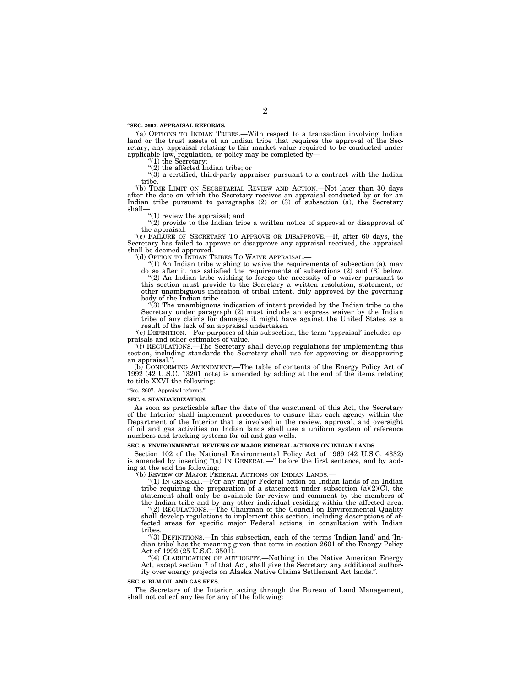#### **''SEC. 2607. APPRAISAL REFORMS.**

''(a) OPTIONS TO INDIAN TRIBES.—With respect to a transaction involving Indian land or the trust assets of an Indian tribe that requires the approval of the Secretary, any appraisal relating to fair market value required to be conducted under applicable law, regulation, or policy may be completed by—

''(1) the Secretary;

''(2) the affected Indian tribe; or

''(3) a certified, third-party appraiser pursuant to a contract with the Indian tribe.

''(b) TIME LIMIT ON SECRETARIAL REVIEW AND ACTION.—Not later than 30 days after the date on which the Secretary receives an appraisal conducted by or for an Indian tribe pursuant to paragraphs (2) or (3) of subsection (a), the Secretary shall—

(1) review the appraisal; and

 $''(2)$  provide to the Indian tribe a written notice of approval or disapproval of the appraisal.

''(c) FAILURE OF SECRETARY TO APPROVE OR DISAPPROVE.—If, after 60 days, the Secretary has failed to approve or disapprove any appraisal received, the appraisal shall be deemed approved.

''(d) OPTION TO INDIAN TRIBES TO WAIVE APPRAISAL.— ''(1) An Indian tribe wishing to waive the requirements of subsection (a), may do so after it has satisfied the requirements of subsections (2) and (3) below. ''(2) An Indian tribe wishing to forego the necessity of a waiver pursuant to this section must provide to the Secretary a written resolution, statement, or other unambiguous indication of tribal intent, duly approved by the governing body of the Indian tribe.

''(3) The unambiguous indication of intent provided by the Indian tribe to the Secretary under paragraph (2) must include an express waiver by the Indian tribe of any claims for damages it might have against the United States as a result of the lack of an appraisal undertaken.

''(e) DEFINITION.—For purposes of this subsection, the term 'appraisal' includes appraisals and other estimates of value.

''(f) REGULATIONS.—The Secretary shall develop regulations for implementing this section, including standards the Secretary shall use for approving or disapproving an appraisal.''.

(b) CONFORMING AMENDMENT.—The table of contents of the Energy Policy Act of 1992 (42 U.S.C. 13201 note) is amended by adding at the end of the items relating to title XXVI the following:

#### ''Sec. 2607. Appraisal reforms.''.

#### **SEC. 4. STANDARDIZATION.**

As soon as practicable after the date of the enactment of this Act, the Secretary of the Interior shall implement procedures to ensure that each agency within the Department of the Interior that is involved in the review, approval, and oversight of oil and gas activities on Indian lands shall use a uniform system of reference numbers and tracking systems for oil and gas wells.

#### **SEC. 5. ENVIRONMENTAL REVIEWS OF MAJOR FEDERAL ACTIONS ON INDIAN LANDS.**

Section 102 of the National Environmental Policy Act of 1969 (42 U.S.C. 4332) is amended by inserting ''(a) IN GENERAL.—'' before the first sentence, and by adding at the end the following:

''(b) REVIEW OF MAJOR FEDERAL ACTIONS ON INDIAN LANDS.—

''(1) IN GENERAL.—For any major Federal action on Indian lands of an Indian tribe requiring the preparation of a statement under subsection  $(a)(2)(C)$ , the statement shall only be available for review and comment by the members of the Indian tribe and by any other individual residing within the affected area.

''(2) REGULATIONS.—The Chairman of the Council on Environmental Quality shall develop regulations to implement this section, including descriptions of affected areas for specific major Federal actions, in consultation with Indian tribes.

''(3) DEFINITIONS.—In this subsection, each of the terms 'Indian land' and 'Indian tribe' has the meaning given that term in section 2601 of the Energy Policy Act of 1992 (25 U.S.C. 3501).

''(4) CLARIFICATION OF AUTHORITY.—Nothing in the Native American Energy Act, except section 7 of that Act, shall give the Secretary any additional authority over energy projects on Alaska Native Claims Settlement Act lands.''.

#### **SEC. 6. BLM OIL AND GAS FEES.**

The Secretary of the Interior, acting through the Bureau of Land Management, shall not collect any fee for any of the following: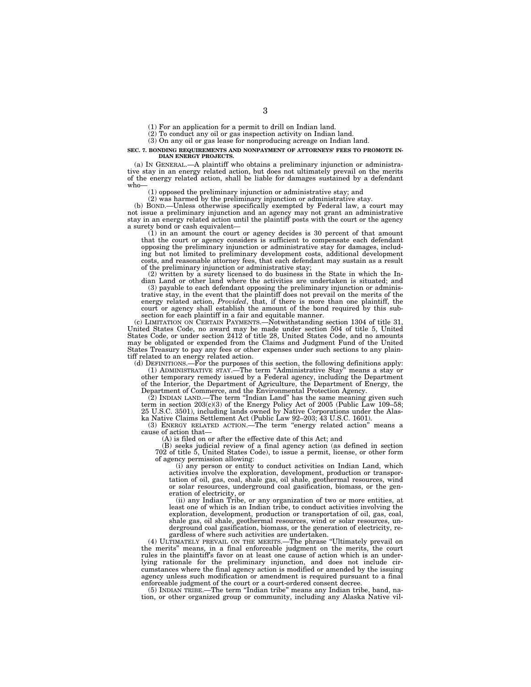(1) For an application for a permit to drill on Indian land.

(2) To conduct any oil or gas inspection activity on Indian land.

(3) On any oil or gas lease for nonproducing acreage on Indian land.

#### **SEC. 7. BONDING REQUIREMENTS AND NONPAYMENT OF ATTORNEYS' FEES TO PROMOTE IN-DIAN ENERGY PROJECTS.**

(a) IN GENERAL.—A plaintiff who obtains a preliminary injunction or administrative stay in an energy related action, but does not ultimately prevail on the merits of the energy related action, shall be liable for damages sustained by a defendant who—

(1) opposed the preliminary injunction or administrative stay; and

(2) was harmed by the preliminary injunction or administrative stay.

(b) BOND.—Unless otherwise specifically exempted by Federal law, a court may not issue a preliminary injunction and an agency may not grant an administrative stay in an energy related action until the plaintiff posts with the court or the agency a surety bond or cash equivalent—

 $(1)$  in an amount the court or agency decides is 30 percent of that amount that the court or agency considers is sufficient to compensate each defendant opposing the preliminary injunction or administrative stay for damages, including but not limited to preliminary development costs, additional development costs, and reasonable attorney fees, that each defendant may sustain as a result of the preliminary injunction or administrative stay;

(2) written by a surety licensed to do business in the State in which the Indian Land or other land where the activities are undertaken is situated; and

(3) payable to each defendant opposing the preliminary injunction or administrative stay, in the event that the plaintiff does not prevail on the merits of the energy related action, *Provided*, that, if there is more than one plaintiff, the court or agency shall establish the amount of the bond required by this subsection for each plaintiff in a fair and equitable manner.

(c) LIMITATION ON CERTAIN PAYMENTS.—Notwithstanding section 1304 of title 31, United States Code, no award may be made under section 504 of title 5, United States Code, or under section 2412 of title 28, United States Code, and no amounts may be obligated or expended from the Claims and Judgment Fund of the United States Treasury to pay any fees or other expenses under such sections to any plain-

tiff related to an energy related action.<br>
(d) DEFINITIONS.—For the purposes of this section, the following definitions apply:<br>
(1) ADMINISTRATIVE STAY.—The term "Administrative Stay" means a stay or<br>
other temporary remed of the Interior, the Department of Agriculture, the Department of Energy, the Department of Commerce, and the Environmental Protection Agency.

 $(2)$  INDIAN LAND.—The term "Indian Land" has the same meaning given such term in section 203(c)(3) of the Energy Policy Act of 2005 (Public Law 109–58; 25 U.S.C. 3501), including lands owned by Native Corporations under the Alaska Native Claims Settlement Act (Public Law 92–203; 43 U.S.C. 1601). (3) ENERGY RELATED ACTION.—The term ''energy related action'' means a

cause of action that—

(A) is filed on or after the effective date of this Act; and

(B) seeks judicial review of a final agency action (as defined in section 702 of title 5, United States Code), to issue a permit, license, or other form of agency permission allowing:

(i) any person or entity to conduct activities on Indian Land, which activities involve the exploration, development, production or transportation of oil, gas, coal, shale gas, oil shale, geothermal resources, wind or solar resources, underground coal gasification, biomass, or the generation of electricity, or

(ii) any Indian Tribe, or any organization of two or more entities, at least one of which is an Indian tribe, to conduct activities involving the exploration, development, production or transportation of oil, gas, coal, shale gas, oil shale, geothermal resources, wind or solar resources, underground coal gasification, biomass, or the generation of electricity, regardless of where such activities are undertaken.

(4) ULTIMATELY PREVAIL ON THE MERITS.—The phrase ''Ultimately prevail on the merits'' means, in a final enforceable judgment on the merits, the court rules in the plaintiff's favor on at least one cause of action which is an underlying rationale for the preliminary injunction, and does not include circumstances where the final agency action is modified or amended by the issuing agency unless such modification or amendment is required pursuant to a final enforceable judgment of the court or a court-ordered consent decree.

(5) INDIAN TRIBE.—The term ''Indian tribe'' means any Indian tribe, band, nation, or other organized group or community, including any Alaska Native vil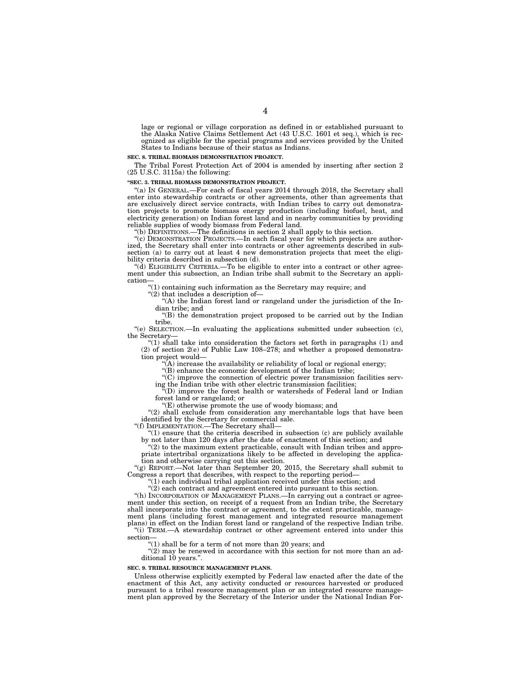lage or regional or village corporation as defined in or established pursuant to the Alaska Native Claims Settlement Act (43 U.S.C. 1601 et seq.), which is recognized as eligible for the special programs and services provided by the United States to Indians because of their status as Indians.

#### **SEC. 8. TRIBAL BIOMASS DEMONSTRATION PROJECT.**

The Tribal Forest Protection Act of 2004 is amended by inserting after section 2 (25 U.S.C. 3115a) the following:

#### **''SEC. 3. TRIBAL BIOMASS DEMONSTRATION PROJECT.**

''(a) IN GENERAL.—For each of fiscal years 2014 through 2018, the Secretary shall enter into stewardship contracts or other agreements, other than agreements that are exclusively direct service contracts, with Indian tribes to carry out demonstration projects to promote biomass energy production (including biofuel, heat, and electricity generation) on Indian forest land and in nearby communities by providing reliable supplies of woody biomass from Federal land.

''(b) DEFINITIONS.—The definitions in section 2 shall apply to this section.

''(c) DEMONSTRATION PROJECTS.—In each fiscal year for which projects are authorized, the Secretary shall enter into contracts or other agreements described in subsection (a) to carry out at least 4 new demonstration projects that meet the eligibility criteria described in subsection (d).

''(d) ELIGIBILITY CRITERIA.—To be eligible to enter into a contract or other agreement under this subsection, an Indian tribe shall submit to the Secretary an application

''(1) containing such information as the Secretary may require; and

''(2) that includes a description of—

''(A) the Indian forest land or rangeland under the jurisdiction of the Indian tribe; and

''(B) the demonstration project proposed to be carried out by the Indian tribe.

''(e) SELECTION.—In evaluating the applications submitted under subsection (c), the Secretary—

''(1) shall take into consideration the factors set forth in paragraphs (1) and (2) of section 2(e) of Public Law 108–278; and whether a proposed demonstration project would—

''(A) increase the availability or reliability of local or regional energy;

''(B) enhance the economic development of the Indian tribe;

 $(C)$  improve the connection of electric power transmission facilities serving the Indian tribe with other electric transmission facilities;

 $\tilde{f}(D)$  improve the forest health or watersheds of Federal land or Indian forest land or rangeland; or

''(E) otherwise promote the use of woody biomass; and

" $(2)$  shall exclude from consideration any merchantable logs that have been identified by the Secretary for commercial sale.

''(f) IMPLEMENTATION.—The Secretary shall—

" $(1)$  ensure that the criteria described in subsection  $(c)$  are publicly available by not later than 120 days after the date of enactment of this section; and

''(2) to the maximum extent practicable, consult with Indian tribes and appropriate intertribal organizations likely to be affected in developing the application and otherwise carrying out this section.

"(g) REPORT.—Not later than September 20, 2015, the Secretary shall submit to Congress a report that describes, with respect to the reporting period—

''(1) each individual tribal application received under this section; and

 $(2)$  each contract and agreement entered into pursuant to this section.

''(h) INCORPORATION OF MANAGEMENT PLANS.—In carrying out a contract or agreement under this section, on receipt of a request from an Indian tribe, the Secretary shall incorporate into the contract or agreement, to the extent practicable, management plans (including forest management and integrated resource management plans) in effect on the Indian forest land or rangeland of the respective Indian tribe. ''(i) TERM.—A stewardship contract or other agreement entered into under this section—

''(1) shall be for a term of not more than 20 years; and

" $(2)$  may be renewed in accordance with this section for not more than an additional 10 years.''.

#### **SEC. 9. TRIBAL RESOURCE MANAGEMENT PLANS.**

Unless otherwise explicitly exempted by Federal law enacted after the date of the enactment of this Act, any activity conducted or resources harvested or produced pursuant to a tribal resource management plan or an integrated resource management plan approved by the Secretary of the Interior under the National Indian For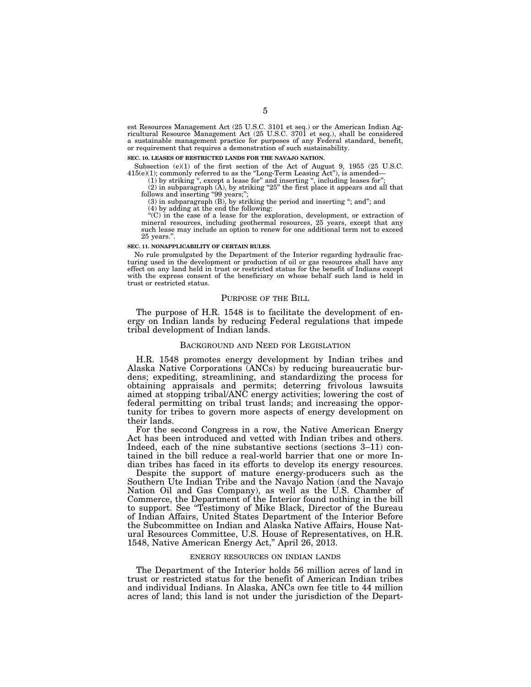est Resources Management Act (25 U.S.C. 3101 et seq.) or the American Indian Agricultural Resource Management Act (25 U.S.C. 3701 et seq.), shall be considered a sustainable management practice for purposes of any Federal standard, benefit, or requirement that requires a demonstration of such sustainability.

#### **SEC. 10. LEASES OF RESTRICTED LANDS FOR THE NAVAJO NATION.**

Subsection (e)(1) of the first section of the Act of August 9, 1955 (25 U.S.C.  $415(e)(1)$ ; commonly referred to as the "Long-Term Leasing Act"), is amended—

 $(1)$  by striking ", except a lease for" and inserting ", including leases for";  $(2)$  in subparagraph  $(A)$ , by striking "25" the first place it appears and all that

follows and inserting "99 years;";

(3) in subparagraph (B), by striking the period and inserting "; and"; and (4) by adding at the end the following:

''(C) in the case of a lease for the exploration, development, or extraction of mineral resources, including geothermal resources, 25 years, except that any such lease may include an option to renew for one additional term not to exceed 25 years.''.

#### **SEC. 11. NONAPPLICABILITY OF CERTAIN RULES.**

No rule promulgated by the Department of the Interior regarding hydraulic fracturing used in the development or production of oil or gas resources shall have any effect on any land held in trust or restricted status for the benefit of Indians except with the express consent of the beneficiary on whose behalf such land is held in trust or restricted status.

#### PURPOSE OF THE BILL

The purpose of H.R. 1548 is to facilitate the development of energy on Indian lands by reducing Federal regulations that impede tribal development of Indian lands.

#### BACKGROUND AND NEED FOR LEGISLATION

H.R. 1548 promotes energy development by Indian tribes and Alaska Native Corporations (ANCs) by reducing bureaucratic burdens; expediting, streamlining, and standardizing the process for obtaining appraisals and permits; deterring frivolous lawsuits aimed at stopping tribal/ANC energy activities; lowering the cost of federal permitting on tribal trust lands; and increasing the opportunity for tribes to govern more aspects of energy development on their lands.

For the second Congress in a row, the Native American Energy Act has been introduced and vetted with Indian tribes and others. Indeed, each of the nine substantive sections (sections 3–11) contained in the bill reduce a real-world barrier that one or more Indian tribes has faced in its efforts to develop its energy resources.

Despite the support of mature energy-producers such as the Southern Ute Indian Tribe and the Navajo Nation (and the Navajo Nation Oil and Gas Company), as well as the U.S. Chamber of Commerce, the Department of the Interior found nothing in the bill to support. See ''Testimony of Mike Black, Director of the Bureau of Indian Affairs, United States Department of the Interior Before the Subcommittee on Indian and Alaska Native Affairs, House Natural Resources Committee, U.S. House of Representatives, on H.R. 1548, Native American Energy Act,'' April 26, 2013.

#### ENERGY RESOURCES ON INDIAN LANDS

The Department of the Interior holds 56 million acres of land in trust or restricted status for the benefit of American Indian tribes and individual Indians. In Alaska, ANCs own fee title to 44 million acres of land; this land is not under the jurisdiction of the Depart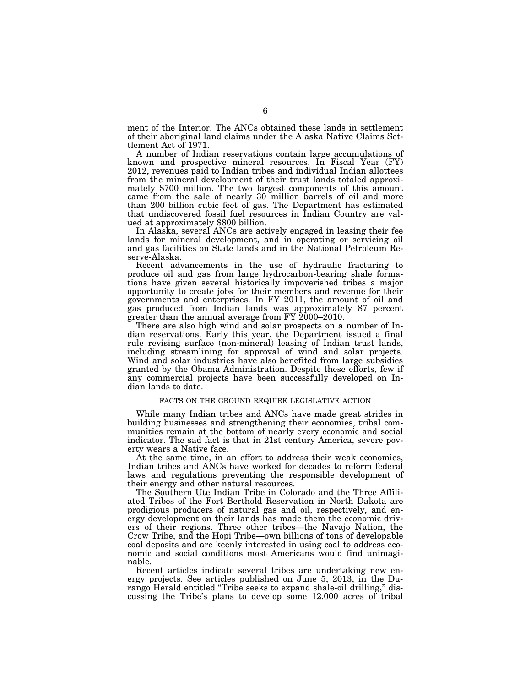ment of the Interior. The ANCs obtained these lands in settlement of their aboriginal land claims under the Alaska Native Claims Settlement Act of 1971.

A number of Indian reservations contain large accumulations of known and prospective mineral resources. In Fiscal Year (FY) 2012, revenues paid to Indian tribes and individual Indian allottees from the mineral development of their trust lands totaled approximately \$700 million. The two largest components of this amount came from the sale of nearly 30 million barrels of oil and more than 200 billion cubic feet of gas. The Department has estimated that undiscovered fossil fuel resources in Indian Country are valued at approximately \$800 billion.

In Alaska, several ANCs are actively engaged in leasing their fee lands for mineral development, and in operating or servicing oil and gas facilities on State lands and in the National Petroleum Reserve-Alaska.

Recent advancements in the use of hydraulic fracturing to produce oil and gas from large hydrocarbon-bearing shale formations have given several historically impoverished tribes a major opportunity to create jobs for their members and revenue for their governments and enterprises. In FY 2011, the amount of oil and gas produced from Indian lands was approximately 87 percent greater than the annual average from  $FY$   $2000-2010$ .

There are also high wind and solar prospects on a number of Indian reservations. Early this year, the Department issued a final rule revising surface (non-mineral) leasing of Indian trust lands, including streamlining for approval of wind and solar projects. Wind and solar industries have also benefited from large subsidies granted by the Obama Administration. Despite these efforts, few if any commercial projects have been successfully developed on Indian lands to date.

## FACTS ON THE GROUND REQUIRE LEGISLATIVE ACTION

While many Indian tribes and ANCs have made great strides in building businesses and strengthening their economies, tribal communities remain at the bottom of nearly every economic and social indicator. The sad fact is that in 21st century America, severe poverty wears a Native face.

At the same time, in an effort to address their weak economies, Indian tribes and ANCs have worked for decades to reform federal laws and regulations preventing the responsible development of their energy and other natural resources.

The Southern Ute Indian Tribe in Colorado and the Three Affiliated Tribes of the Fort Berthold Reservation in North Dakota are prodigious producers of natural gas and oil, respectively, and energy development on their lands has made them the economic drivers of their regions. Three other tribes—the Navajo Nation, the Crow Tribe, and the Hopi Tribe—own billions of tons of developable coal deposits and are keenly interested in using coal to address economic and social conditions most Americans would find unimaginable.

Recent articles indicate several tribes are undertaking new energy projects. See articles published on June 5, 2013, in the Durango Herald entitled ''Tribe seeks to expand shale-oil drilling,'' discussing the Tribe's plans to develop some 12,000 acres of tribal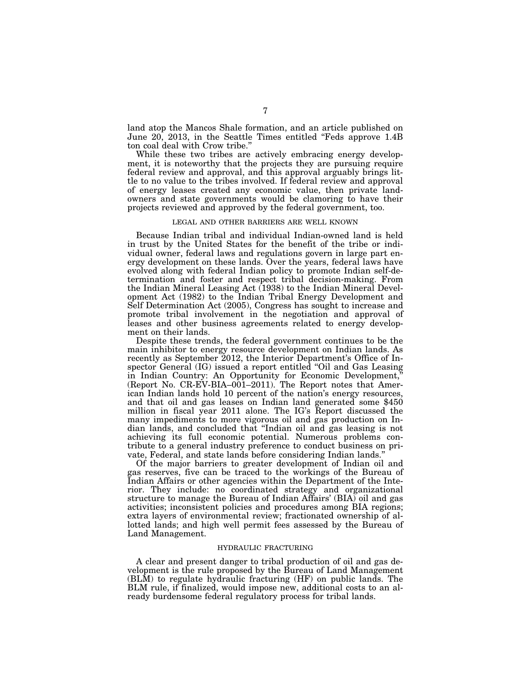land atop the Mancos Shale formation, and an article published on June 20, 2013, in the Seattle Times entitled "Feds approve 1.4B ton coal deal with Crow tribe.''

While these two tribes are actively embracing energy development, it is noteworthy that the projects they are pursuing require federal review and approval, and this approval arguably brings little to no value to the tribes involved. If federal review and approval of energy leases created any economic value, then private landowners and state governments would be clamoring to have their projects reviewed and approved by the federal government, too.

#### LEGAL AND OTHER BARRIERS ARE WELL KNOWN

Because Indian tribal and individual Indian-owned land is held in trust by the United States for the benefit of the tribe or individual owner, federal laws and regulations govern in large part energy development on these lands. Over the years, federal laws have evolved along with federal Indian policy to promote Indian self-determination and foster and respect tribal decision-making. From the Indian Mineral Leasing Act (1938) to the Indian Mineral Development Act (1982) to the Indian Tribal Energy Development and Self Determination Act (2005), Congress has sought to increase and promote tribal involvement in the negotiation and approval of leases and other business agreements related to energy development on their lands.

Despite these trends, the federal government continues to be the main inhibitor to energy resource development on Indian lands. As recently as September 2012, the Interior Department's Office of Inspector General (IG) issued a report entitled ''Oil and Gas Leasing in Indian Country: An Opportunity for Economic Development,'' (Report No. CR-EV-BIA–001–2011). The Report notes that American Indian lands hold 10 percent of the nation's energy resources, and that oil and gas leases on Indian land generated some \$450 million in fiscal year 2011 alone. The IG's Report discussed the many impediments to more vigorous oil and gas production on Indian lands, and concluded that ''Indian oil and gas leasing is not achieving its full economic potential. Numerous problems contribute to a general industry preference to conduct business on private, Federal, and state lands before considering Indian lands.''

Of the major barriers to greater development of Indian oil and gas reserves, five can be traced to the workings of the Bureau of Indian Affairs or other agencies within the Department of the Interior. They include: no coordinated strategy and organizational structure to manage the Bureau of Indian Affairs' (BIA) oil and gas activities; inconsistent policies and procedures among BIA regions; extra layers of environmental review; fractionated ownership of allotted lands; and high well permit fees assessed by the Bureau of Land Management.

#### HYDRAULIC FRACTURING

A clear and present danger to tribal production of oil and gas development is the rule proposed by the Bureau of Land Management (BLM) to regulate hydraulic fracturing (HF) on public lands. The BLM rule, if finalized, would impose new, additional costs to an already burdensome federal regulatory process for tribal lands.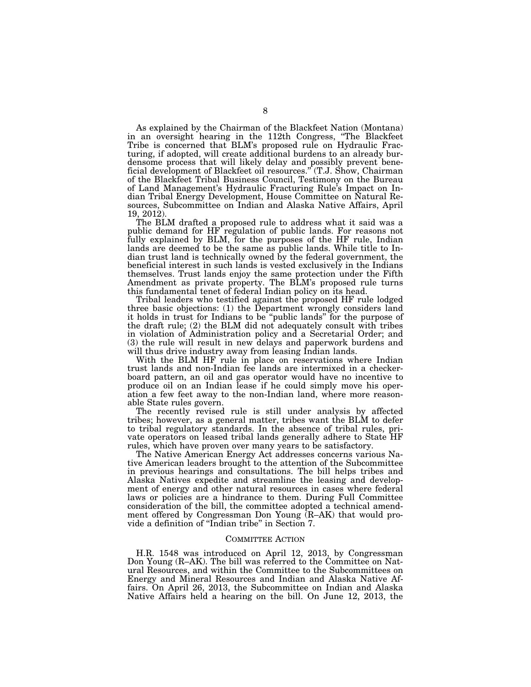As explained by the Chairman of the Blackfeet Nation (Montana) in an oversight hearing in the 112th Congress, ''The Blackfeet Tribe is concerned that BLM's proposed rule on Hydraulic Fracturing, if adopted, will create additional burdens to an already burdensome process that will likely delay and possibly prevent beneficial development of Blackfeet oil resources.'' (T.J. Show, Chairman of the Blackfeet Tribal Business Council, Testimony on the Bureau of Land Management's Hydraulic Fracturing Rule's Impact on Indian Tribal Energy Development, House Committee on Natural Resources, Subcommittee on Indian and Alaska Native Affairs, April 19, 2012).

The BLM drafted a proposed rule to address what it said was a public demand for HF regulation of public lands. For reasons not fully explained by BLM, for the purposes of the HF rule, Indian lands are deemed to be the same as public lands. While title to Indian trust land is technically owned by the federal government, the beneficial interest in such lands is vested exclusively in the Indians themselves. Trust lands enjoy the same protection under the Fifth Amendment as private property. The BLM's proposed rule turns this fundamental tenet of federal Indian policy on its head.

Tribal leaders who testified against the proposed HF rule lodged three basic objections: (1) the Department wrongly considers land it holds in trust for Indians to be ''public lands'' for the purpose of the draft rule; (2) the BLM did not adequately consult with tribes in violation of Administration policy and a Secretarial Order; and (3) the rule will result in new delays and paperwork burdens and will thus drive industry away from leasing Indian lands.

With the BLM HF rule in place on reservations where Indian trust lands and non-Indian fee lands are intermixed in a checkerboard pattern, an oil and gas operator would have no incentive to produce oil on an Indian lease if he could simply move his operation a few feet away to the non-Indian land, where more reasonable State rules govern.

The recently revised rule is still under analysis by affected tribes; however, as a general matter, tribes want the BLM to defer to tribal regulatory standards. In the absence of tribal rules, private operators on leased tribal lands generally adhere to State HF rules, which have proven over many years to be satisfactory.

The Native American Energy Act addresses concerns various Native American leaders brought to the attention of the Subcommittee in previous hearings and consultations. The bill helps tribes and Alaska Natives expedite and streamline the leasing and development of energy and other natural resources in cases where federal laws or policies are a hindrance to them. During Full Committee consideration of the bill, the committee adopted a technical amendment offered by Congressman Don Young (R–AK) that would provide a definition of ''Indian tribe'' in Section 7.

#### COMMITTEE ACTION

H.R. 1548 was introduced on April 12, 2013, by Congressman Don Young (R–AK). The bill was referred to the Committee on Natural Resources, and within the Committee to the Subcommittees on Energy and Mineral Resources and Indian and Alaska Native Affairs. On April 26, 2013, the Subcommittee on Indian and Alaska Native Affairs held a hearing on the bill. On June 12, 2013, the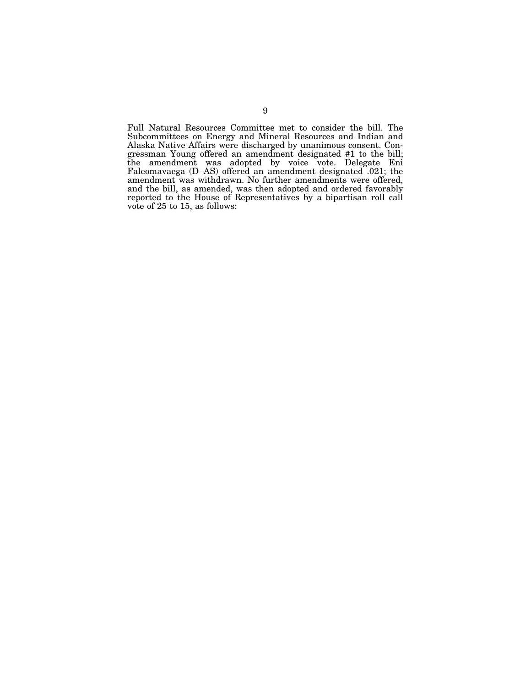Full Natural Resources Committee met to consider the bill. The Subcommittees on Energy and Mineral Resources and Indian and Alaska Native Affairs were discharged by unanimous consent. Congressman Young offered an amendment designated #1 to the bill; the amendment was adopted by voice vote. Delegate Eni Faleomavaega (D–AS) offered an amendment designated .021; the amendment was withdrawn. No further amendments were offered, and the bill, as amended, was then adopted and ordered favorably reported to the House of Representatives by a bipartisan roll call vote of 25 to 15, as follows: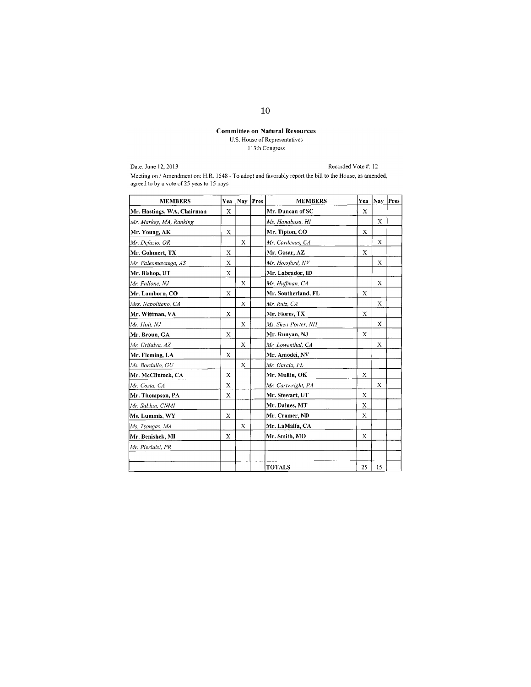#### **Committee on Natural Resources**  u.s. House of Representatives 113th Congress

Date: June 12,2013 Recorded Vote #: 12 Meeting on / Amendment on: H.R. 1548 - To adopt and favorably report the bill to the House, as amended, agreed to by a vote of 25 yeas to 15 nays

| <b>MEMBERS</b>             |             | Nay Pres | <b>MEMBERS</b>      |             | <b>Nay</b> | Pres |
|----------------------------|-------------|----------|---------------------|-------------|------------|------|
| Mr. Hastings, WA, Chairman | X           |          | Mr. Duncan of SC    |             |            |      |
| Mr. Markey, MA, Ranking    |             |          | Ms. Hanabusa, HI    |             | X          |      |
| Mr. Young, AK              | X           |          | Mr. Tipton, CO      | X           |            |      |
| Mr. Defazio, OR            |             | X        | Mr. Cardenas, CA    |             | X          |      |
| Mr. Gohmert, TX            | X           |          | Mr. Gosar, AZ       | X           |            |      |
| Mr. Faleomavaega, AS       | X           |          | Mr. Horsford, NV    |             | X          |      |
| Mr. Bishop, UT             | $\mathbf x$ |          | Mr. Labrador, ID    |             |            |      |
| Mr. Pallone, NJ            |             | X        | Mr. Huffman, CA     |             | X          |      |
| Mr. Lamborn, CO            | X           |          | Mr. Southerland, FL | X           |            |      |
| Mrs. Napolitano, CA        |             | X        | Mr. Ruiz, CA        |             | X          |      |
| Mr. Wittman, VA            | X           |          | Mr. Flores, TX      | $\mathbf x$ |            |      |
| Mr. Holt, NJ               |             | X        | Ms. Shea-Porter, NH |             | X          |      |
| Mr. Broun, GA              | $\bf{X}$    |          | Mr. Runyan, NJ      | X           |            |      |
| Mr. Grijalva, AZ           |             | X        | Mr. Lowenthal, CA   |             | X          |      |
| Mr. Fleming, LA            | X           |          | Mr. Amodei, NV      |             |            |      |
| Ms. Bordallo, GU           |             | X        | Mr. Garcia, FL      |             |            |      |
| Mr. McClintock, CA         | X           |          | Mr. Mullin, OK      | X           |            |      |
| Mr. Costa. CA              | X           |          | Mr. Cartwright, PA  |             | X          |      |
| Mr. Thompson, PA           | X           |          | Mr. Stewart, UT     | X           |            |      |
| Mr. Sablan, CNMI           |             |          | Mr. Daines, MT      | X           |            |      |
| Ms. Lummis, WY             | X           |          | Mr. Cramer, ND      | X           |            |      |
| Ms. Tsongas, MA            |             | X        | Mr. LaMalfa, CA     |             |            |      |
| Mr. Benishek, MI           | X           |          | Mr. Smith, MO       | X           |            |      |
| Mr. Pierluisi, PR          |             |          |                     |             |            |      |
|                            |             |          |                     |             |            |      |
|                            |             |          | <b>TOTALS</b>       | 25          | 15         |      |

# 10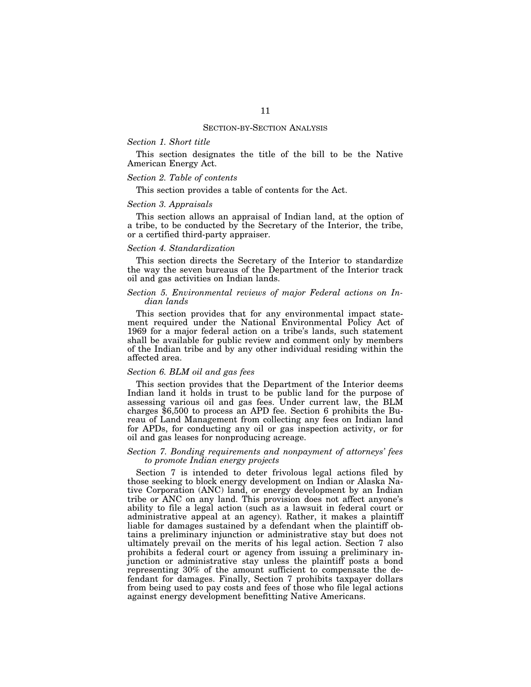#### SECTION-BY-SECTION ANALYSIS

## *Section 1. Short title*

This section designates the title of the bill to be the Native American Energy Act.

#### *Section 2. Table of contents*

This section provides a table of contents for the Act.

#### *Section 3. Appraisals*

This section allows an appraisal of Indian land, at the option of a tribe, to be conducted by the Secretary of the Interior, the tribe, or a certified third-party appraiser.

## *Section 4. Standardization*

This section directs the Secretary of the Interior to standardize the way the seven bureaus of the Department of the Interior track oil and gas activities on Indian lands.

## *Section 5. Environmental reviews of major Federal actions on Indian lands*

This section provides that for any environmental impact statement required under the National Environmental Policy Act of 1969 for a major federal action on a tribe's lands, such statement shall be available for public review and comment only by members of the Indian tribe and by any other individual residing within the affected area.

## *Section 6. BLM oil and gas fees*

This section provides that the Department of the Interior deems Indian land it holds in trust to be public land for the purpose of assessing various oil and gas fees. Under current law, the BLM charges \$6,500 to process an APD fee. Section 6 prohibits the Bureau of Land Management from collecting any fees on Indian land for APDs, for conducting any oil or gas inspection activity, or for oil and gas leases for nonproducing acreage.

## *Section 7. Bonding requirements and nonpayment of attorneys' fees to promote Indian energy projects*

Section 7 is intended to deter frivolous legal actions filed by those seeking to block energy development on Indian or Alaska Native Corporation (ANC) land, or energy development by an Indian tribe or ANC on any land. This provision does not affect anyone's ability to file a legal action (such as a lawsuit in federal court or administrative appeal at an agency). Rather, it makes a plaintiff liable for damages sustained by a defendant when the plaintiff obtains a preliminary injunction or administrative stay but does not ultimately prevail on the merits of his legal action. Section 7 also prohibits a federal court or agency from issuing a preliminary injunction or administrative stay unless the plaintiff posts a bond representing 30% of the amount sufficient to compensate the defendant for damages. Finally, Section 7 prohibits taxpayer dollars from being used to pay costs and fees of those who file legal actions against energy development benefitting Native Americans.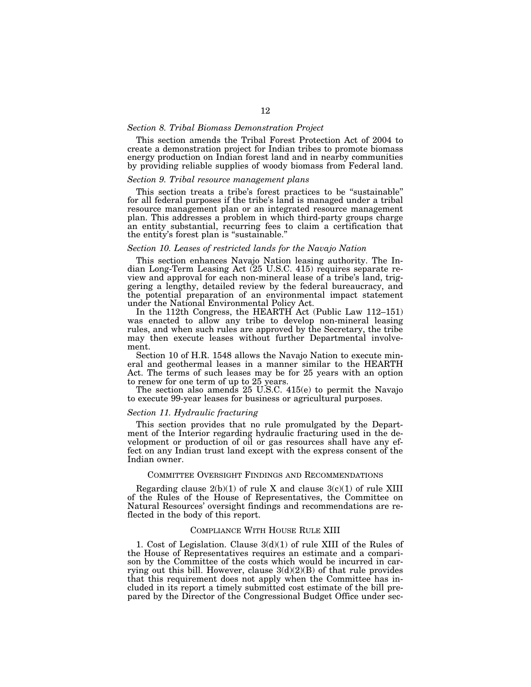#### *Section 8. Tribal Biomass Demonstration Project*

This section amends the Tribal Forest Protection Act of 2004 to create a demonstration project for Indian tribes to promote biomass energy production on Indian forest land and in nearby communities by providing reliable supplies of woody biomass from Federal land.

#### *Section 9. Tribal resource management plans*

This section treats a tribe's forest practices to be ''sustainable'' for all federal purposes if the tribe's land is managed under a tribal resource management plan or an integrated resource management plan. This addresses a problem in which third-party groups charge an entity substantial, recurring fees to claim a certification that the entity's forest plan is ''sustainable.''

#### *Section 10. Leases of restricted lands for the Navajo Nation*

This section enhances Navajo Nation leasing authority. The Indian Long-Term Leasing Act (25 U.S.C. 415) requires separate review and approval for each non-mineral lease of a tribe's land, triggering a lengthy, detailed review by the federal bureaucracy, and the potential preparation of an environmental impact statement under the National Environmental Policy Act.

In the 112th Congress, the HEARTH Act (Public Law 112–151) was enacted to allow any tribe to develop non-mineral leasing rules, and when such rules are approved by the Secretary, the tribe may then execute leases without further Departmental involvement.

Section 10 of H.R. 1548 allows the Navajo Nation to execute mineral and geothermal leases in a manner similar to the HEARTH Act. The terms of such leases may be for 25 years with an option to renew for one term of up to 25 years.

The section also amends 25 U.S.C. 415(e) to permit the Navajo to execute 99-year leases for business or agricultural purposes.

#### *Section 11. Hydraulic fracturing*

This section provides that no rule promulgated by the Department of the Interior regarding hydraulic fracturing used in the development or production of oil or gas resources shall have any effect on any Indian trust land except with the express consent of the Indian owner.

#### COMMITTEE OVERSIGHT FINDINGS AND RECOMMENDATIONS

Regarding clause  $2(b)(1)$  of rule X and clause  $3(c)(1)$  of rule XIII of the Rules of the House of Representatives, the Committee on Natural Resources' oversight findings and recommendations are reflected in the body of this report.

#### COMPLIANCE WITH HOUSE RULE XIII

1. Cost of Legislation. Clause 3(d)(1) of rule XIII of the Rules of the House of Representatives requires an estimate and a comparison by the Committee of the costs which would be incurred in carrying out this bill. However, clause  $3(d)(2)(B)$  of that rule provides that this requirement does not apply when the Committee has included in its report a timely submitted cost estimate of the bill prepared by the Director of the Congressional Budget Office under sec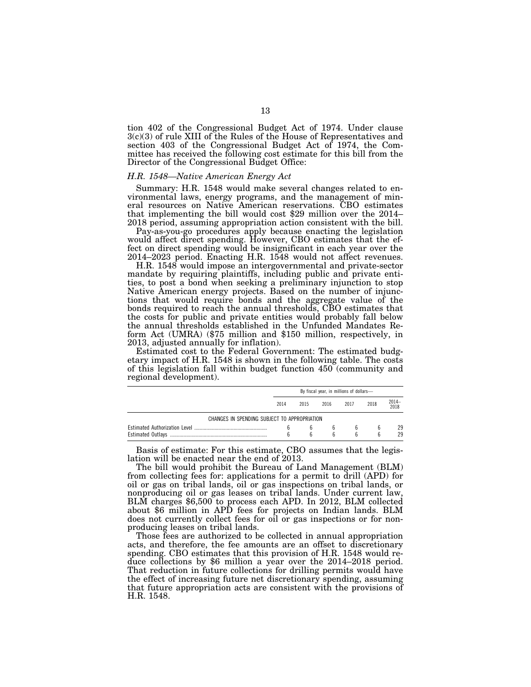tion 402 of the Congressional Budget Act of 1974. Under clause 3(c)(3) of rule XIII of the Rules of the House of Representatives and section 403 of the Congressional Budget Act of 1974, the Committee has received the following cost estimate for this bill from the Director of the Congressional Budget Office:

#### *H.R. 1548—Native American Energy Act*

Summary: H.R. 1548 would make several changes related to environmental laws, energy programs, and the management of mineral resources on Native American reservations. CBO estimates that implementing the bill would cost \$29 million over the 2014– 2018 period, assuming appropriation action consistent with the bill.

Pay-as-you-go procedures apply because enacting the legislation would affect direct spending. However, CBO estimates that the effect on direct spending would be insignificant in each year over the 2014–2023 period. Enacting H.R. 1548 would not affect revenues.

H.R. 1548 would impose an intergovernmental and private-sector mandate by requiring plaintiffs, including public and private entities, to post a bond when seeking a preliminary injunction to stop Native American energy projects. Based on the number of injunctions that would require bonds and the aggregate value of the bonds required to reach the annual thresholds, CBO estimates that the costs for public and private entities would probably fall below the annual thresholds established in the Unfunded Mandates Reform Act (UMRA) (\$75 million and \$150 million, respectively, in 2013, adjusted annually for inflation).

Estimated cost to the Federal Government: The estimated budgetary impact of H.R. 1548 is shown in the following table. The costs of this legislation fall within budget function 450 (community and regional development).

|                                              | By fiscal year, in millions of dollars- |      |      |        |      |                   |
|----------------------------------------------|-----------------------------------------|------|------|--------|------|-------------------|
|                                              | 2014                                    | 2015 | 2016 | 2017   | 2018 | $^{2014-}_{2018}$ |
| CHANGES IN SPENDING SUBJECT TO APPROPRIATION |                                         |      |      |        |      |                   |
|                                              |                                         |      |      | 6<br>ĥ | ĥ    | 29<br>29          |

Basis of estimate: For this estimate, CBO assumes that the legislation will be enacted near the end of 2013.

The bill would prohibit the Bureau of Land Management (BLM) from collecting fees for: applications for a permit to drill (APD) for oil or gas on tribal lands, oil or gas inspections on tribal lands, or nonproducing oil or gas leases on tribal lands. Under current law, BLM charges \$6,500 to process each APD. In 2012, BLM collected about \$6 million in APD fees for projects on Indian lands. BLM does not currently collect fees for oil or gas inspections or for nonproducing leases on tribal lands.

Those fees are authorized to be collected in annual appropriation acts, and therefore, the fee amounts are an offset to discretionary spending. CBO estimates that this provision of H.R. 1548 would reduce collections by \$6 million a year over the 2014–2018 period. That reduction in future collections for drilling permits would have the effect of increasing future net discretionary spending, assuming that future appropriation acts are consistent with the provisions of H.R. 1548.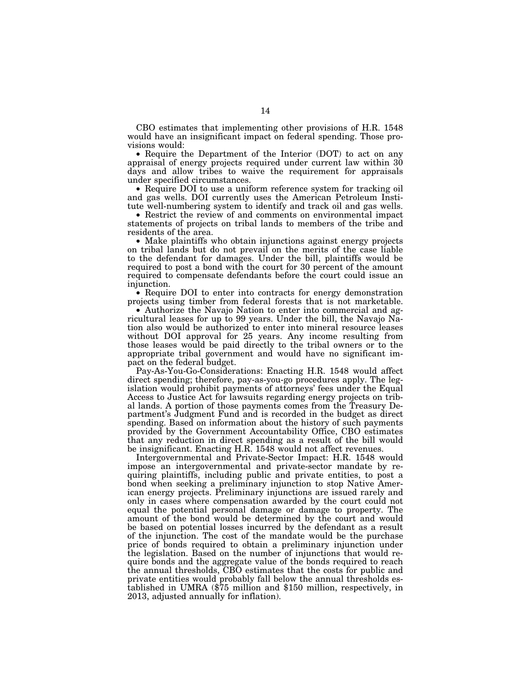CBO estimates that implementing other provisions of H.R. 1548 would have an insignificant impact on federal spending. Those provisions would:

• Require the Department of the Interior (DOT) to act on any appraisal of energy projects required under current law within 30 days and allow tribes to waive the requirement for appraisals under specified circumstances.

• Require DOI to use a uniform reference system for tracking oil and gas wells. DOI currently uses the American Petroleum Institute well-numbering system to identify and track oil and gas wells.

• Restrict the review of and comments on environmental impact statements of projects on tribal lands to members of the tribe and residents of the area.

• Make plaintiffs who obtain injunctions against energy projects on tribal lands but do not prevail on the merits of the case liable to the defendant for damages. Under the bill, plaintiffs would be required to post a bond with the court for 30 percent of the amount required to compensate defendants before the court could issue an injunction.

• Require DOI to enter into contracts for energy demonstration projects using timber from federal forests that is not marketable.

• Authorize the Navajo Nation to enter into commercial and agricultural leases for up to 99 years. Under the bill, the Navajo Nation also would be authorized to enter into mineral resource leases without DOI approval for 25 years. Any income resulting from those leases would be paid directly to the tribal owners or to the appropriate tribal government and would have no significant impact on the federal budget.

Pay-As-You-Go-Considerations: Enacting H.R. 1548 would affect direct spending; therefore, pay-as-you-go procedures apply. The legislation would prohibit payments of attorneys' fees under the Equal Access to Justice Act for lawsuits regarding energy projects on tribal lands. A portion of those payments comes from the Treasury Department's Judgment Fund and is recorded in the budget as direct spending. Based on information about the history of such payments provided by the Government Accountability Office, CBO estimates that any reduction in direct spending as a result of the bill would be insignificant. Enacting H.R. 1548 would not affect revenues.

Intergovernmental and Private-Sector Impact: H.R. 1548 would impose an intergovernmental and private-sector mandate by requiring plaintiffs, including public and private entities, to post a bond when seeking a preliminary injunction to stop Native American energy projects. Preliminary injunctions are issued rarely and only in cases where compensation awarded by the court could not equal the potential personal damage or damage to property. The amount of the bond would be determined by the court and would be based on potential losses incurred by the defendant as a result of the injunction. The cost of the mandate would be the purchase price of bonds required to obtain a preliminary injunction under the legislation. Based on the number of injunctions that would require bonds and the aggregate value of the bonds required to reach the annual thresholds, CBO estimates that the costs for public and private entities would probably fall below the annual thresholds established in UMRA (\$75 million and \$150 million, respectively, in 2013, adjusted annually for inflation).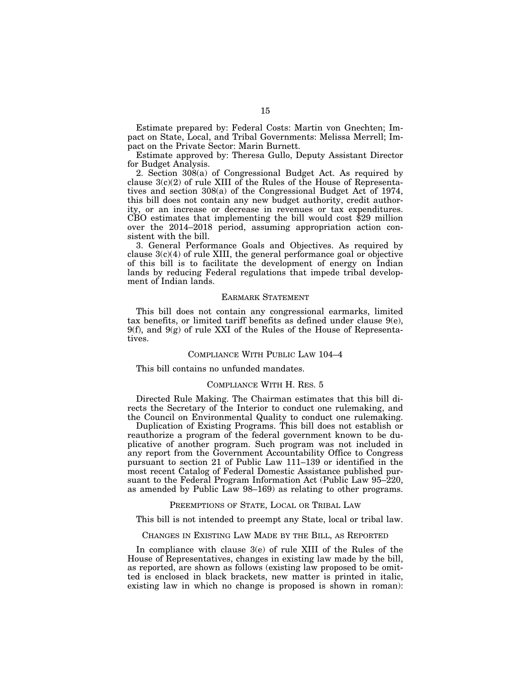Estimate prepared by: Federal Costs: Martin von Gnechten; Impact on State, Local, and Tribal Governments: Melissa Merrell; Impact on the Private Sector: Marin Burnett.

Estimate approved by: Theresa Gullo, Deputy Assistant Director for Budget Analysis.

2. Section 308(a) of Congressional Budget Act. As required by clause  $3(c)(2)$  of rule XIII of the Rules of the House of Representatives and section 308(a) of the Congressional Budget Act of 1974, this bill does not contain any new budget authority, credit authority, or an increase or decrease in revenues or tax expenditures. CBO estimates that implementing the bill would cost \$29 million over the 2014–2018 period, assuming appropriation action consistent with the bill.

3. General Performance Goals and Objectives. As required by clause  $3(c)(4)$  of rule XIII, the general performance goal or objective of this bill is to facilitate the development of energy on Indian lands by reducing Federal regulations that impede tribal development of Indian lands.

#### EARMARK STATEMENT

This bill does not contain any congressional earmarks, limited tax benefits, or limited tariff benefits as defined under clause 9(e),  $9(f)$ , and  $9(g)$  of rule XXI of the Rules of the House of Representatives.

#### COMPLIANCE WITH PUBLIC LAW 104–4

This bill contains no unfunded mandates.

#### COMPLIANCE WITH H. RES. 5

Directed Rule Making. The Chairman estimates that this bill directs the Secretary of the Interior to conduct one rulemaking, and the Council on Environmental Quality to conduct one rulemaking.

Duplication of Existing Programs. This bill does not establish or reauthorize a program of the federal government known to be duplicative of another program. Such program was not included in any report from the Government Accountability Office to Congress pursuant to section 21 of Public Law 111–139 or identified in the most recent Catalog of Federal Domestic Assistance published pursuant to the Federal Program Information Act (Public Law 95–220, as amended by Public Law 98–169) as relating to other programs.

#### PREEMPTIONS OF STATE, LOCAL OR TRIBAL LAW

This bill is not intended to preempt any State, local or tribal law.

#### CHANGES IN EXISTING LAW MADE BY THE BILL, AS REPORTED

In compliance with clause 3(e) of rule XIII of the Rules of the House of Representatives, changes in existing law made by the bill, as reported, are shown as follows (existing law proposed to be omitted is enclosed in black brackets, new matter is printed in italic, existing law in which no change is proposed is shown in roman):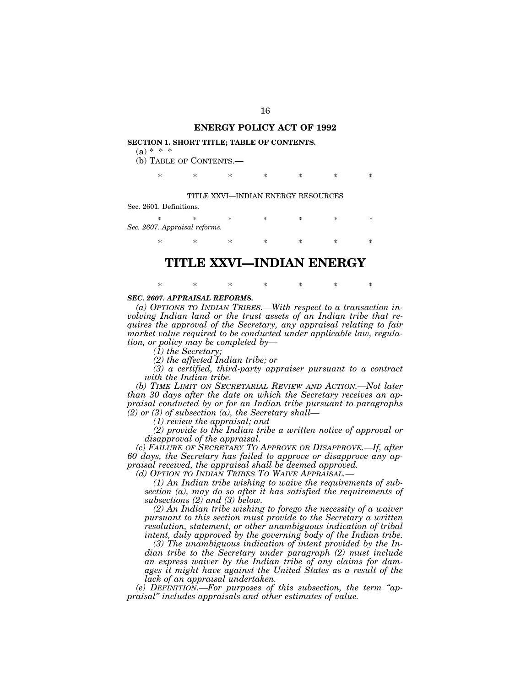## **ENERGY POLICY ACT OF 1992**

## **SECTION 1. SHORT TITLE; TABLE OF CONTENTS.**

 $(a) * * *$ 

(b) TABLE OF CONTENTS.—

\* \* \* \* \* \* \*

## TITLE XXVI—INDIAN ENERGY RESOURCES

Sec. 2601. Definitions.

|  | Sec. 2607. Appraisal reforms. |  |  |  |
|--|-------------------------------|--|--|--|

# \* \* \* \* \* \* \* **TITLE XXVI—INDIAN ENERGY**

\* \* \* \* \* \* \*

### *SEC. 2607. APPRAISAL REFORMS.*

*(a) OPTIONS TO INDIAN TRIBES.—With respect to a transaction involving Indian land or the trust assets of an Indian tribe that requires the approval of the Secretary, any appraisal relating to fair market value required to be conducted under applicable law, regulation, or policy may be completed by—* 

*(1) the Secretary;* 

*(2) the affected Indian tribe; or* 

*(3) a certified, third-party appraiser pursuant to a contract with the Indian tribe.* 

*(b) TIME LIMIT ON SECRETARIAL REVIEW AND ACTION.—Not later than 30 days after the date on which the Secretary receives an appraisal conducted by or for an Indian tribe pursuant to paragraphs (2) or (3) of subsection (a), the Secretary shall—* 

*(1) review the appraisal; and* 

*(2) provide to the Indian tribe a written notice of approval or disapproval of the appraisal.* 

*(c) FAILURE OF SECRETARY TO APPROVE OR DISAPPROVE.—If, after 60 days, the Secretary has failed to approve or disapprove any appraisal received, the appraisal shall be deemed approved.* 

*(d) OPTION TO INDIAN TRIBES TO WAIVE APPRAISAL.—* 

*(1) An Indian tribe wishing to waive the requirements of subsection (a), may do so after it has satisfied the requirements of subsections (2) and (3) below.* 

*(2) An Indian tribe wishing to forego the necessity of a waiver pursuant to this section must provide to the Secretary a written resolution, statement, or other unambiguous indication of tribal intent, duly approved by the governing body of the Indian tribe.* 

*(3) The unambiguous indication of intent provided by the Indian tribe to the Secretary under paragraph (2) must include an express waiver by the Indian tribe of any claims for damages it might have against the United States as a result of the lack of an appraisal undertaken.* 

*(e) DEFINITION.—For purposes of this subsection, the term ''appraisal'' includes appraisals and other estimates of value.*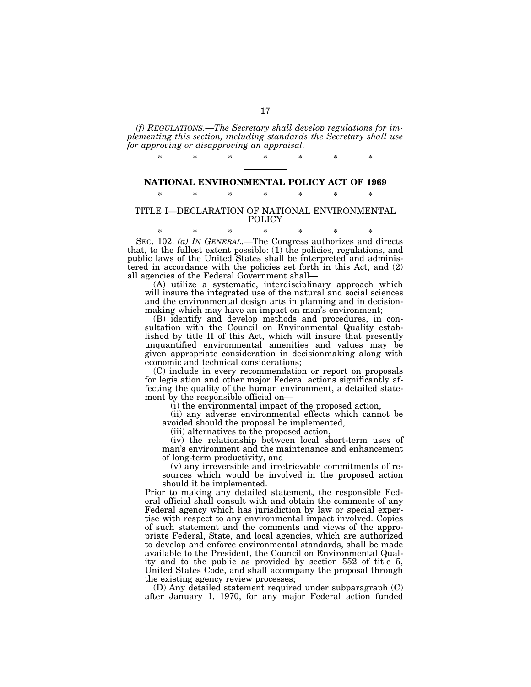*(f) REGULATIONS.—The Secretary shall develop regulations for implementing this section, including standards the Secretary shall use for approving or disapproving an appraisal.* 

\* \* \* \* \* \* \*

#### **NATIONAL ENVIRONMENTAL POLICY ACT OF 1969**

# \* \* \* \* \* \* \* TITLE I—DECLARATION OF NATIONAL ENVIRONMENTAL POLICY

\* \* \* \* \* \* \* SEC. 102. *(a) IN GENERAL.—*The Congress authorizes and directs that, to the fullest extent possible: (1) the policies, regulations, and public laws of the United States shall be interpreted and administered in accordance with the policies set forth in this Act, and (2) all agencies of the Federal Government shall—

(A) utilize a systematic, interdisciplinary approach which will insure the integrated use of the natural and social sciences and the environmental design arts in planning and in decisionmaking which may have an impact on man's environment;

(B) identify and develop methods and procedures, in consultation with the Council on Environmental Quality established by title II of this Act, which will insure that presently unquantified environmental amenities and values may be given appropriate consideration in decisionmaking along with economic and technical considerations;

(C) include in every recommendation or report on proposals for legislation and other major Federal actions significantly affecting the quality of the human environment, a detailed statement by the responsible official on—

(i) the environmental impact of the proposed action,

(ii) any adverse environmental effects which cannot be avoided should the proposal be implemented,

(iii) alternatives to the proposed action,

(iv) the relationship between local short-term uses of man's environment and the maintenance and enhancement of long-term productivity, and

(v) any irreversible and irretrievable commitments of resources which would be involved in the proposed action should it be implemented.

Prior to making any detailed statement, the responsible Federal official shall consult with and obtain the comments of any Federal agency which has jurisdiction by law or special expertise with respect to any environmental impact involved. Copies of such statement and the comments and views of the appropriate Federal, State, and local agencies, which are authorized to develop and enforce environmental standards, shall be made available to the President, the Council on Environmental Quality and to the public as provided by section 552 of title 5, United States Code, and shall accompany the proposal through the existing agency review processes;

(D) Any detailed statement required under subparagraph (C) after January 1, 1970, for any major Federal action funded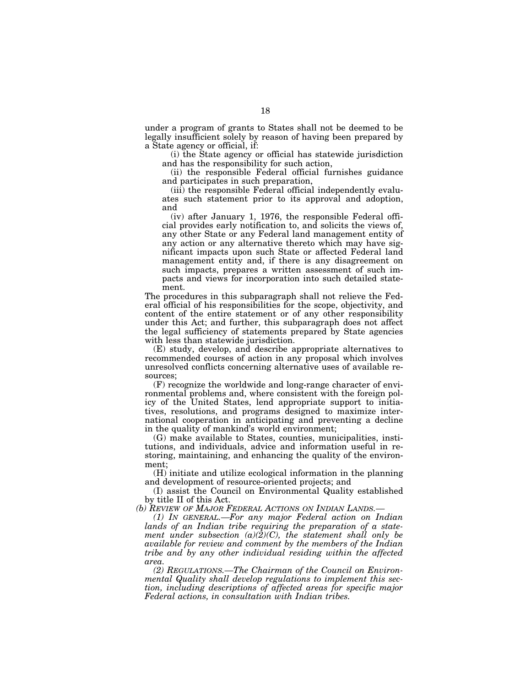under a program of grants to States shall not be deemed to be legally insufficient solely by reason of having been prepared by a State agency or official, if:

(i) the State agency or official has statewide jurisdiction and has the responsibility for such action,

(ii) the responsible Federal official furnishes guidance and participates in such preparation,

(iii) the responsible Federal official independently evaluates such statement prior to its approval and adoption, and

(iv) after January 1, 1976, the responsible Federal official provides early notification to, and solicits the views of, any other State or any Federal land management entity of any action or any alternative thereto which may have significant impacts upon such State or affected Federal land management entity and, if there is any disagreement on such impacts, prepares a written assessment of such impacts and views for incorporation into such detailed statement.

The procedures in this subparagraph shall not relieve the Federal official of his responsibilities for the scope, objectivity, and content of the entire statement or of any other responsibility under this Act; and further, this subparagraph does not affect the legal sufficiency of statements prepared by State agencies with less than statewide jurisdiction.

(E) study, develop, and describe appropriate alternatives to recommended courses of action in any proposal which involves unresolved conflicts concerning alternative uses of available resources;

(F) recognize the worldwide and long-range character of environmental problems and, where consistent with the foreign policy of the United States, lend appropriate support to initiatives, resolutions, and programs designed to maximize international cooperation in anticipating and preventing a decline in the quality of mankind's world environment;

(G) make available to States, counties, municipalities, institutions, and individuals, advice and information useful in restoring, maintaining, and enhancing the quality of the environment;

(H) initiate and utilize ecological information in the planning and development of resource-oriented projects; and

(I) assist the Council on Environmental Quality established by title II of this Act.

*(b) REVIEW OF MAJOR FEDERAL ACTIONS ON INDIAN LANDS.—* 

*(1) IN GENERAL.—For any major Federal action on Indian lands of an Indian tribe requiring the preparation of a statement under subsection*  $(a)(2)(C)$ *, the statement shall only be available for review and comment by the members of the Indian tribe and by any other individual residing within the affected area.* 

*(2) REGULATIONS.—The Chairman of the Council on Environmental Quality shall develop regulations to implement this section, including descriptions of affected areas for specific major Federal actions, in consultation with Indian tribes.*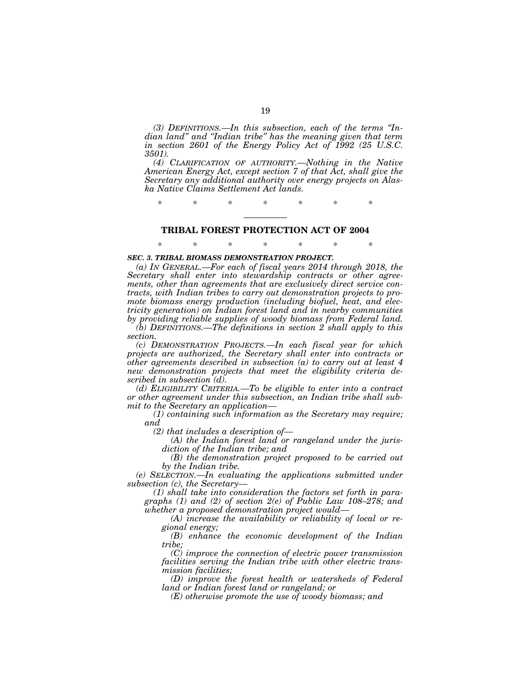*(3) DEFINITIONS.—In this subsection, each of the terms ''Indian land'' and ''Indian tribe'' has the meaning given that term in section 2601 of the Energy Policy Act of 1992 (25 U.S.C. 3501).* 

*(4) CLARIFICATION OF AUTHORITY.—Nothing in the Native American Energy Act, except section 7 of that Act, shall give the Secretary any additional authority over energy projects on Alaska Native Claims Settlement Act lands.* 

\* \* \* \* \* \* \*

# **TRIBAL FOREST PROTECTION ACT OF 2004**  \* \* \* \* \* \* \*

#### *SEC. 3. TRIBAL BIOMASS DEMONSTRATION PROJECT.*

*(a) IN GENERAL.—For each of fiscal years 2014 through 2018, the Secretary shall enter into stewardship contracts or other agreements, other than agreements that are exclusively direct service contracts, with Indian tribes to carry out demonstration projects to promote biomass energy production (including biofuel, heat, and electricity generation) on Indian forest land and in nearby communities by providing reliable supplies of woody biomass from Federal land.* 

*(b) DEFINITIONS.—The definitions in section 2 shall apply to this section.* 

*(c) DEMONSTRATION PROJECTS.—In each fiscal year for which projects are authorized, the Secretary shall enter into contracts or other agreements described in subsection (a) to carry out at least 4 new demonstration projects that meet the eligibility criteria described in subsection (d).* 

*(d) ELIGIBILITY CRITERIA.—To be eligible to enter into a contract or other agreement under this subsection, an Indian tribe shall submit to the Secretary an application—* 

*(1) containing such information as the Secretary may require; and* 

*(2) that includes a description of—* 

*(A) the Indian forest land or rangeland under the jurisdiction of the Indian tribe; and* 

*(B) the demonstration project proposed to be carried out by the Indian tribe.* 

(e) SELECTION.—In evaluating the applications submitted under *subsection (c), the Secretary—* 

*(1) shall take into consideration the factors set forth in paragraphs (1) and (2) of section 2(e) of Public Law 108–278; and whether a proposed demonstration project would—* 

*(A) increase the availability or reliability of local or regional energy;* 

*(B) enhance the economic development of the Indian tribe;* 

*(C) improve the connection of electric power transmission facilities serving the Indian tribe with other electric transmission facilities;* 

*(D) improve the forest health or watersheds of Federal land or Indian forest land or rangeland; or* 

*(E) otherwise promote the use of woody biomass; and*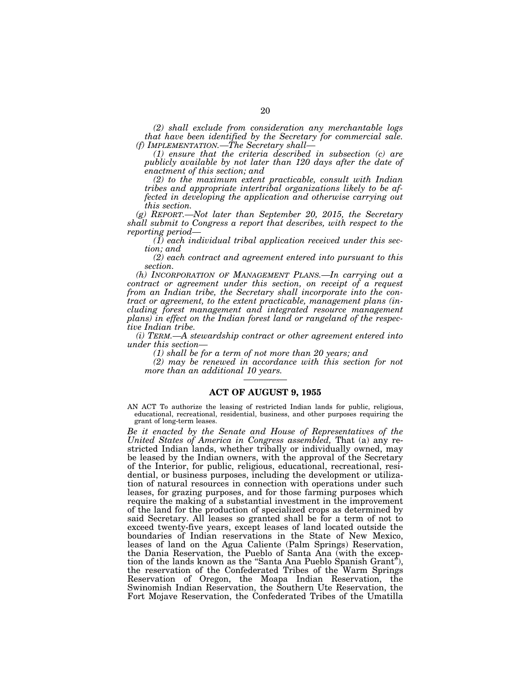*(2) shall exclude from consideration any merchantable logs that have been identified by the Secretary for commercial sale. (f) IMPLEMENTATION.—The Secretary shall—* 

*(1) ensure that the criteria described in subsection (c) are publicly available by not later than 120 days after the date of enactment of this section; and* 

*(2) to the maximum extent practicable, consult with Indian tribes and appropriate intertribal organizations likely to be affected in developing the application and otherwise carrying out this section.* 

*(g) REPORT.—Not later than September 20, 2015, the Secretary shall submit to Congress a report that describes, with respect to the reporting period—* 

*(1) each individual tribal application received under this section; and* 

*(2) each contract and agreement entered into pursuant to this section.* 

*(h) INCORPORATION OF MANAGEMENT PLANS.—In carrying out a*  contract or agreement under this section, on receipt of a request *from an Indian tribe, the Secretary shall incorporate into the contract or agreement, to the extent practicable, management plans (including forest management and integrated resource management plans) in effect on the Indian forest land or rangeland of the respective Indian tribe.* 

*(i) TERM.—A stewardship contract or other agreement entered into under this section—* 

*(1) shall be for a term of not more than 20 years; and* 

*(2) may be renewed in accordance with this section for not more than an additional 10 years.* 

## **ACT OF AUGUST 9, 1955**

AN ACT To authorize the leasing of restricted Indian lands for public, religious, educational, recreational, residential, business, and other purposes requiring the grant of long-term leases.

*Be it enacted by the Senate and House of Representatives of the United States of America in Congress assembled,* That (a) any restricted Indian lands, whether tribally or individually owned, may be leased by the Indian owners, with the approval of the Secretary of the Interior, for public, religious, educational, recreational, residential, or business purposes, including the development or utilization of natural resources in connection with operations under such leases, for grazing purposes, and for those farming purposes which require the making of a substantial investment in the improvement of the land for the production of specialized crops as determined by said Secretary. All leases so granted shall be for a term of not to exceed twenty-five years, except leases of land located outside the boundaries of Indian reservations in the State of New Mexico, leases of land on the Agua Caliente (Palm Springs) Reservation, the Dania Reservation, the Pueblo of Santa Ana (with the exception of the lands known as the "Santa Ana Pueblo Spanish Grant"), the reservation of the Confederated Tribes of the Warm Springs Reservation of Oregon, the Moapa Indian Reservation, the Swinomish Indian Reservation, the Southern Ute Reservation, the Fort Mojave Reservation, the Confederated Tribes of the Umatilla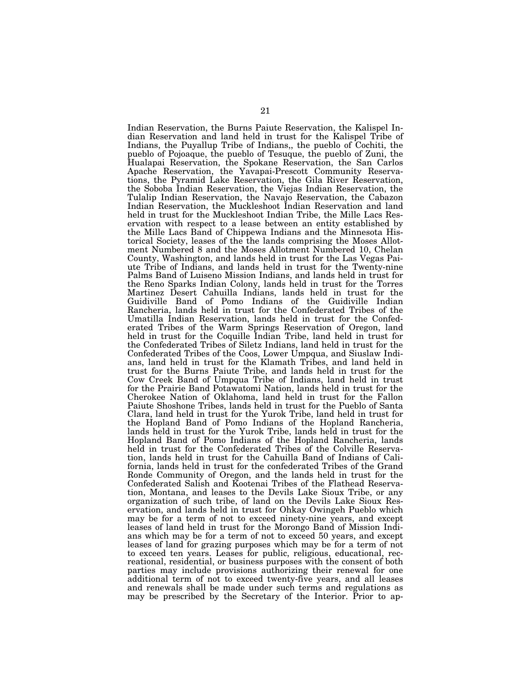Indian Reservation, the Burns Paiute Reservation, the Kalispel Indian Reservation and land held in trust for the Kalispel Tribe of Indians, the Puyallup Tribe of Indians,, the pueblo of Cochiti, the pueblo of Pojoaque, the pueblo of Tesuque, the pueblo of Zuni, the Hualapai Reservation, the Spokane Reservation, the San Carlos Apache Reservation, the Yavapai-Prescott Community Reservations, the Pyramid Lake Reservation, the Gila River Reservation, the Soboba Indian Reservation, the Viejas Indian Reservation, the Tulalip Indian Reservation, the Navajo Reservation, the Cabazon Indian Reservation, the Muckleshoot Indian Reservation and land held in trust for the Muckleshoot Indian Tribe, the Mille Lacs Reservation with respect to a lease between an entity established by the Mille Lacs Band of Chippewa Indians and the Minnesota Historical Society, leases of the the lands comprising the Moses Allotment Numbered 8 and the Moses Allotment Numbered 10, Chelan County, Washington, and lands held in trust for the Las Vegas Paiute Tribe of Indians, and lands held in trust for the Twenty-nine Palms Band of Luiseno Mission Indians, and lands held in trust for the Reno Sparks Indian Colony, lands held in trust for the Torres Martinez Desert Cahuilla Indians, lands held in trust for the Guidiville Band of Pomo Indians of the Guidiville Indian Rancheria, lands held in trust for the Confederated Tribes of the Umatilla Indian Reservation, lands held in trust for the Confederated Tribes of the Warm Springs Reservation of Oregon, land held in trust for the Coquille Indian Tribe, land held in trust for the Confederated Tribes of Siletz Indians, land held in trust for the Confederated Tribes of the Coos, Lower Umpqua, and Siuslaw Indians, land held in trust for the Klamath Tribes, and land held in trust for the Burns Paiute Tribe, and lands held in trust for the Cow Creek Band of Umpqua Tribe of Indians, land held in trust for the Prairie Band Potawatomi Nation, lands held in trust for the Cherokee Nation of Oklahoma, land held in trust for the Fallon Paiute Shoshone Tribes, lands held in trust for the Pueblo of Santa Clara, land held in trust for the Yurok Tribe, land held in trust for the Hopland Band of Pomo Indians of the Hopland Rancheria, lands held in trust for the Yurok Tribe, lands held in trust for the Hopland Band of Pomo Indians of the Hopland Rancheria, lands held in trust for the Confederated Tribes of the Colville Reservation, lands held in trust for the Cahuilla Band of Indians of California, lands held in trust for the confederated Tribes of the Grand Ronde Community of Oregon, and the lands held in trust for the Confederated Salish and Kootenai Tribes of the Flathead Reservation, Montana, and leases to the Devils Lake Sioux Tribe, or any organization of such tribe, of land on the Devils Lake Sioux Reservation, and lands held in trust for Ohkay Owingeh Pueblo which may be for a term of not to exceed ninety-nine years, and except leases of land held in trust for the Morongo Band of Mission Indians which may be for a term of not to exceed 50 years, and except leases of land for grazing purposes which may be for a term of not to exceed ten years. Leases for public, religious, educational, recreational, residential, or business purposes with the consent of both parties may include provisions authorizing their renewal for one additional term of not to exceed twenty-five years, and all leases and renewals shall be made under such terms and regulations as may be prescribed by the Secretary of the Interior. Prior to ap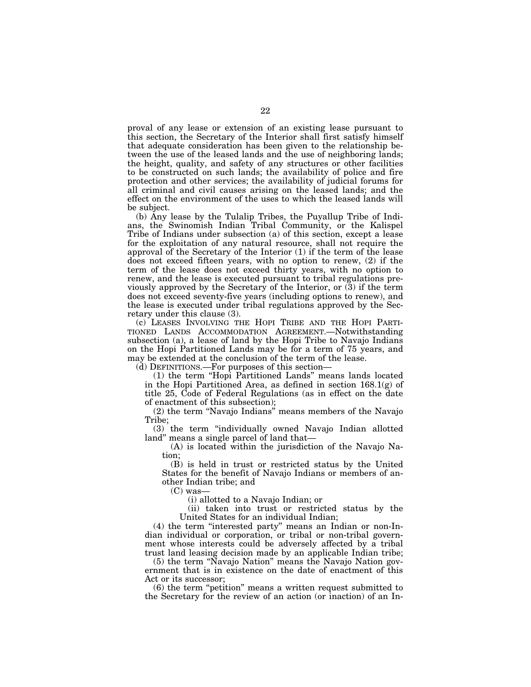proval of any lease or extension of an existing lease pursuant to this section, the Secretary of the Interior shall first satisfy himself that adequate consideration has been given to the relationship between the use of the leased lands and the use of neighboring lands; the height, quality, and safety of any structures or other facilities to be constructed on such lands; the availability of police and fire protection and other services; the availability of judicial forums for all criminal and civil causes arising on the leased lands; and the effect on the environment of the uses to which the leased lands will be subject.

(b) Any lease by the Tulalip Tribes, the Puyallup Tribe of Indians, the Swinomish Indian Tribal Community, or the Kalispel Tribe of Indians under subsection (a) of this section, except a lease for the exploitation of any natural resource, shall not require the approval of the Secretary of the Interior (1) if the term of the lease does not exceed fifteen years, with no option to renew, (2) if the term of the lease does not exceed thirty years, with no option to renew, and the lease is executed pursuant to tribal regulations previously approved by the Secretary of the Interior, or (3) if the term does not exceed seventy-five years (including options to renew), and the lease is executed under tribal regulations approved by the Secretary under this clause (3).

(c) LEASES INVOLVING THE HOPI TRIBE AND THE HOPI PARTI-TIONED LANDS ACCOMMODATION AGREEMENT.—Notwithstanding subsection (a), a lease of land by the Hopi Tribe to Navajo Indians on the Hopi Partitioned Lands may be for a term of 75 years, and may be extended at the conclusion of the term of the lease.

(d) DEFINITIONS.—For purposes of this section—

(1) the term ''Hopi Partitioned Lands'' means lands located in the Hopi Partitioned Area, as defined in section 168.1(g) of title 25, Code of Federal Regulations (as in effect on the date of enactment of this subsection);

(2) the term ''Navajo Indians'' means members of the Navajo Tribe;

(3) the term ''individually owned Navajo Indian allotted land'' means a single parcel of land that—

(A) is located within the jurisdiction of the Navajo Nation;

(B) is held in trust or restricted status by the United States for the benefit of Navajo Indians or members of another Indian tribe; and

 $(C)$  was—

(i) allotted to a Navajo Indian; or

(ii) taken into trust or restricted status by the United States for an individual Indian;

(4) the term ''interested party'' means an Indian or non-Indian individual or corporation, or tribal or non-tribal government whose interests could be adversely affected by a tribal trust land leasing decision made by an applicable Indian tribe;

(5) the term ''Navajo Nation'' means the Navajo Nation government that is in existence on the date of enactment of this Act or its successor;

(6) the term ''petition'' means a written request submitted to the Secretary for the review of an action (or inaction) of an In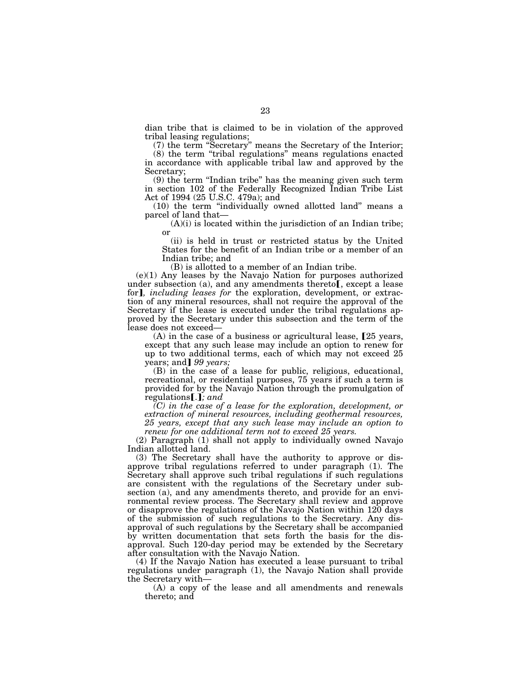dian tribe that is claimed to be in violation of the approved tribal leasing regulations;

(7) the term ''Secretary'' means the Secretary of the Interior;

(8) the term ''tribal regulations'' means regulations enacted in accordance with applicable tribal law and approved by the Secretary;

(9) the term ''Indian tribe'' has the meaning given such term in section 102 of the Federally Recognized Indian Tribe List Act of 1994 (25 U.S.C. 479a); and

(10) the term ''individually owned allotted land'' means a parcel of land that—

 $(A)(i)$  is located within the jurisdiction of an Indian tribe; or

(ii) is held in trust or restricted status by the United States for the benefit of an Indian tribe or a member of an Indian tribe; and

(B) is allotted to a member of an Indian tribe.

(e)(1) Any leases by the Navajo Nation for purposes authorized under subsection (a), and any amendments thereto $\mathbf{I}$ , except a lease for<sup>*</sup>*, *including leases for* the exploration, development, or extrac-</sup> tion of any mineral resources, shall not require the approval of the Secretary if the lease is executed under the tribal regulations approved by the Secretary under this subsection and the term of the lease does not exceed—

(A) in the case of a business or agricultural lease,  $\lceil 25 \text{ years.} \rceil$ except that any such lease may include an option to renew for up to two additional terms, each of which may not exceed 25 years; and] 99 years;

(B) in the case of a lease for public, religious, educational, recreational, or residential purposes, 75 years if such a term is provided for by the Navajo Nation through the promulgation of regulations [.]; and

*(C) in the case of a lease for the exploration, development, or extraction of mineral resources, including geothermal resources, 25 years, except that any such lease may include an option to renew for one additional term not to exceed 25 years.* 

(2) Paragraph (1) shall not apply to individually owned Navajo Indian allotted land.

(3) The Secretary shall have the authority to approve or disapprove tribal regulations referred to under paragraph (1). The Secretary shall approve such tribal regulations if such regulations are consistent with the regulations of the Secretary under subsection (a), and any amendments thereto, and provide for an environmental review process. The Secretary shall review and approve or disapprove the regulations of the Navajo Nation within 120 days of the submission of such regulations to the Secretary. Any disapproval of such regulations by the Secretary shall be accompanied by written documentation that sets forth the basis for the disapproval. Such 120-day period may be extended by the Secretary after consultation with the Navajo Nation.

(4) If the Navajo Nation has executed a lease pursuant to tribal regulations under paragraph (1), the Navajo Nation shall provide the Secretary with—

(A) a copy of the lease and all amendments and renewals thereto; and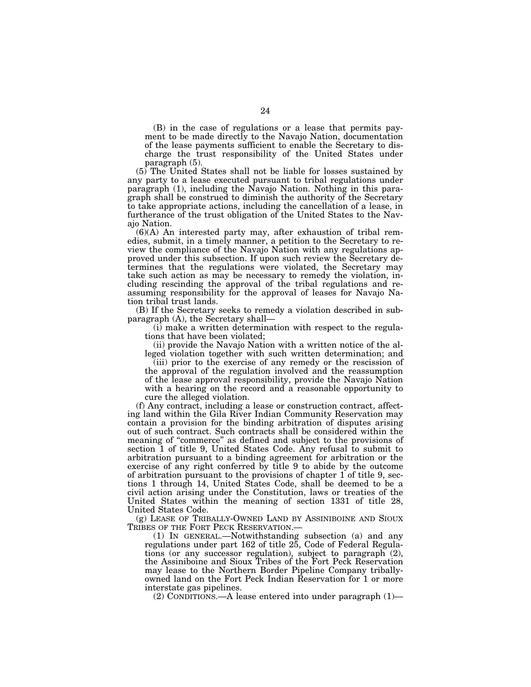(B) in the case of regulations or a lease that permits payment to be made directly to the Navajo Nation, documentation of the lease payments sufficient to enable the Secretary to discharge the trust responsibility of the United States under paragraph (5).

(5) The United States shall not be liable for losses sustained by any party to a lease executed pursuant to tribal regulations under paragraph (1), including the Navajo Nation. Nothing in this paragraph shall be construed to diminish the authority of the Secretary to take appropriate actions, including the cancellation of a lease, in furtherance of the trust obligation of the United States to the Navajo Nation.

(6)(A) An interested party may, after exhaustion of tribal remedies, submit, in a timely manner, a petition to the Secretary to review the compliance of the Navajo Nation with any regulations approved under this subsection. If upon such review the Secretary determines that the regulations were violated, the Secretary may take such action as may be necessary to remedy the violation, including rescinding the approval of the tribal regulations and reassuming responsibility for the approval of leases for Navajo Nation tribal trust lands.

(B) If the Secretary seeks to remedy a violation described in subparagraph (A), the Secretary shall—

(i) make a written determination with respect to the regulations that have been violated;

(ii) provide the Navajo Nation with a written notice of the alleged violation together with such written determination; and

(iii) prior to the exercise of any remedy or the rescission of the approval of the regulation involved and the reassumption of the lease approval responsibility, provide the Navajo Nation with a hearing on the record and a reasonable opportunity to cure the alleged violation.

(f) Any contract, including a lease or construction contract, affecting land within the Gila River Indian Community Reservation may contain a provision for the binding arbitration of disputes arising out of such contract. Such contracts shall be considered within the meaning of ''commerce'' as defined and subject to the provisions of section 1 of title 9, United States Code. Any refusal to submit to arbitration pursuant to a binding agreement for arbitration or the exercise of any right conferred by title 9 to abide by the outcome of arbitration pursuant to the provisions of chapter 1 of title 9, sections 1 through 14, United States Code, shall be deemed to be a civil action arising under the Constitution, laws or treaties of the United States within the meaning of section 1331 of title 28, United States Code.

(g) LEASE OF TRIBALLY-OWNED LAND BY ASSINIBOINE AND SIOUX TRIBES OF THE FORT PECK RESERVATION.—

(1) IN GENERAL.—Notwithstanding subsection (a) and any regulations under part 162 of title 25, Code of Federal Regulations (or any successor regulation), subject to paragraph (2), the Assiniboine and Sioux Tribes of the Fort Peck Reservation may lease to the Northern Border Pipeline Company triballyowned land on the Fort Peck Indian Reservation for 1 or more interstate gas pipelines.

(2) CONDITIONS.—A lease entered into under paragraph (1)—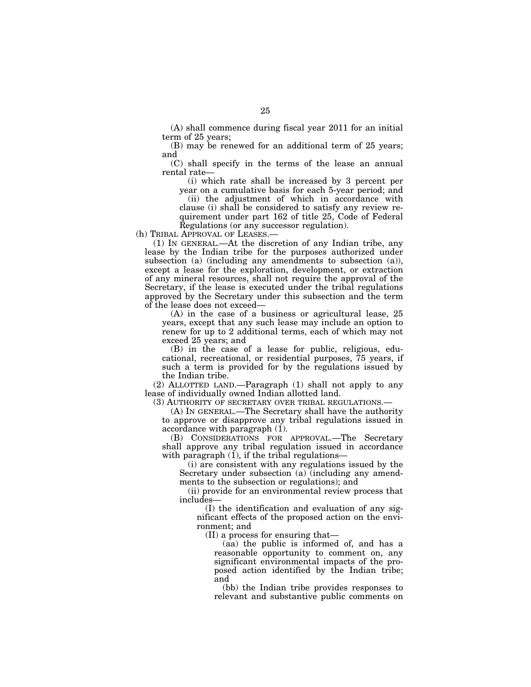(A) shall commence during fiscal year 2011 for an initial term of 25 years;

(B) may be renewed for an additional term of 25 years; and

(C) shall specify in the terms of the lease an annual rental rate—

(i) which rate shall be increased by 3 percent per year on a cumulative basis for each 5-year period; and

(ii) the adjustment of which in accordance with clause (i) shall be considered to satisfy any review requirement under part 162 of title 25, Code of Federal Regulations (or any successor regulation).

(h) TRIBAL APPROVAL OF LEASES.—

(1) IN GENERAL.—At the discretion of any Indian tribe, any lease by the Indian tribe for the purposes authorized under subsection (a) (including any amendments to subsection (a)), except a lease for the exploration, development, or extraction of any mineral resources, shall not require the approval of the Secretary, if the lease is executed under the tribal regulations approved by the Secretary under this subsection and the term of the lease does not exceed—

(A) in the case of a business or agricultural lease, 25 years, except that any such lease may include an option to renew for up to 2 additional terms, each of which may not exceed 25 years; and

(B) in the case of a lease for public, religious, educational, recreational, or residential purposes, 75 years, if such a term is provided for by the regulations issued by the Indian tribe.

(2) ALLOTTED LAND.—Paragraph (1) shall not apply to any lease of individually owned Indian allotted land.

(3) AUTHORITY OF SECRETARY OVER TRIBAL REGULATIONS.—

(A) IN GENERAL.—The Secretary shall have the authority to approve or disapprove any tribal regulations issued in accordance with paragraph (1).

(B) CONSIDERATIONS FOR APPROVAL.—The Secretary shall approve any tribal regulation issued in accordance with paragraph  $(1)$ , if the tribal regulations—

(i) are consistent with any regulations issued by the Secretary under subsection (a) (including any amendments to the subsection or regulations); and

(ii) provide for an environmental review process that includes—

(I) the identification and evaluation of any significant effects of the proposed action on the environment; and

(II) a process for ensuring that—

(aa) the public is informed of, and has a reasonable opportunity to comment on, any significant environmental impacts of the proposed action identified by the Indian tribe; and

(bb) the Indian tribe provides responses to relevant and substantive public comments on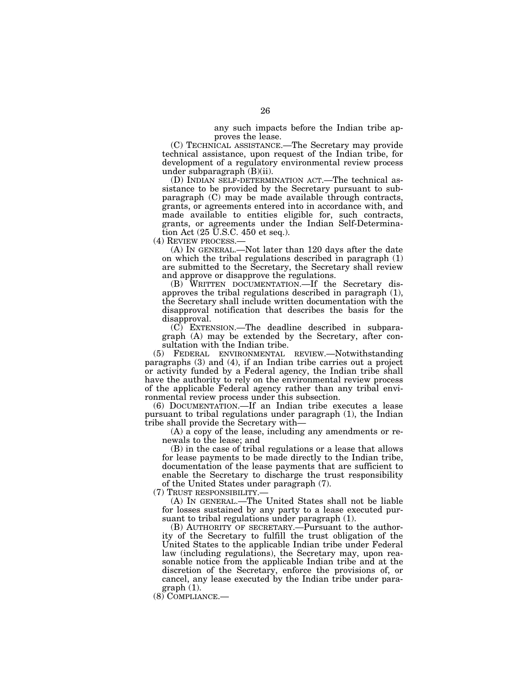any such impacts before the Indian tribe approves the lease.

(C) TECHNICAL ASSISTANCE.—The Secretary may provide technical assistance, upon request of the Indian tribe, for development of a regulatory environmental review process under subparagraph (B)(ii).

(D) INDIAN SELF-DETERMINATION ACT.—The technical assistance to be provided by the Secretary pursuant to subparagraph (C) may be made available through contracts, grants, or agreements entered into in accordance with, and made available to entities eligible for, such contracts, grants, or agreements under the Indian Self-Determination Act  $(25 \text{ U.S.C. } 450 \text{ et seq.}).$ 

(4) REVIEW PROCESS.—

(A) IN GENERAL.—Not later than 120 days after the date on which the tribal regulations described in paragraph (1) are submitted to the Secretary, the Secretary shall review and approve or disapprove the regulations.

(B) WRITTEN DOCUMENTATION.—If the Secretary disapproves the tribal regulations described in paragraph (1), the Secretary shall include written documentation with the disapproval notification that describes the basis for the disapproval.

(C) EXTENSION.—The deadline described in subparagraph (A) may be extended by the Secretary, after consultation with the Indian tribe.

(5) FEDERAL ENVIRONMENTAL REVIEW.—Notwithstanding paragraphs (3) and (4), if an Indian tribe carries out a project or activity funded by a Federal agency, the Indian tribe shall have the authority to rely on the environmental review process of the applicable Federal agency rather than any tribal environmental review process under this subsection.

(6) DOCUMENTATION.—If an Indian tribe executes a lease pursuant to tribal regulations under paragraph (1), the Indian tribe shall provide the Secretary with—

(A) a copy of the lease, including any amendments or renewals to the lease; and

(B) in the case of tribal regulations or a lease that allows for lease payments to be made directly to the Indian tribe, documentation of the lease payments that are sufficient to enable the Secretary to discharge the trust responsibility of the United States under paragraph (7).

(7) TRUST RESPONSIBILITY.—

(A) IN GENERAL.—The United States shall not be liable for losses sustained by any party to a lease executed pursuant to tribal regulations under paragraph (1).

(B) AUTHORITY OF SECRETARY.—Pursuant to the authority of the Secretary to fulfill the trust obligation of the United States to the applicable Indian tribe under Federal law (including regulations), the Secretary may, upon reasonable notice from the applicable Indian tribe and at the discretion of the Secretary, enforce the provisions of, or cancel, any lease executed by the Indian tribe under paragraph (1).

 $(8)$  COMPLIANCE.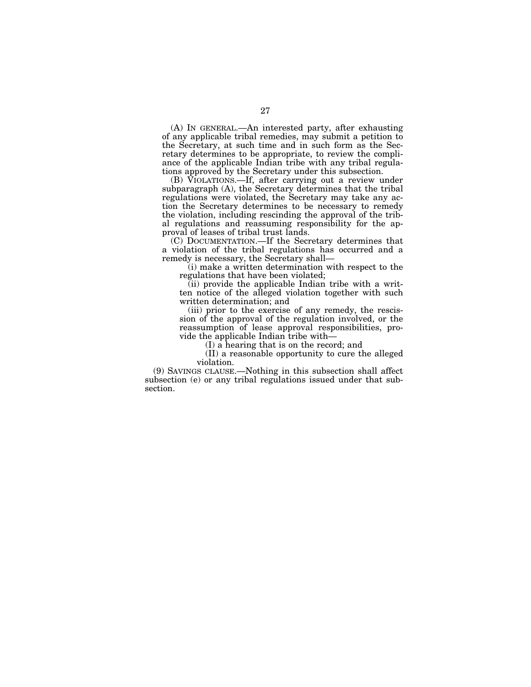(A) IN GENERAL.—An interested party, after exhausting of any applicable tribal remedies, may submit a petition to the Secretary, at such time and in such form as the Secretary determines to be appropriate, to review the compliance of the applicable Indian tribe with any tribal regulations approved by the Secretary under this subsection.

(B) VIOLATIONS.—If, after carrying out a review under subparagraph (A), the Secretary determines that the tribal regulations were violated, the Secretary may take any action the Secretary determines to be necessary to remedy the violation, including rescinding the approval of the tribal regulations and reassuming responsibility for the approval of leases of tribal trust lands.

(C) DOCUMENTATION.—If the Secretary determines that a violation of the tribal regulations has occurred and a remedy is necessary, the Secretary shall—

(i) make a written determination with respect to the regulations that have been violated;

 $(iii)$  provide the applicable Indian tribe with a written notice of the alleged violation together with such written determination; and

(iii) prior to the exercise of any remedy, the rescission of the approval of the regulation involved, or the reassumption of lease approval responsibilities, provide the applicable Indian tribe with—

(I) a hearing that is on the record; and

(II) a reasonable opportunity to cure the alleged violation.

(9) SAVINGS CLAUSE.—Nothing in this subsection shall affect subsection (e) or any tribal regulations issued under that subsection.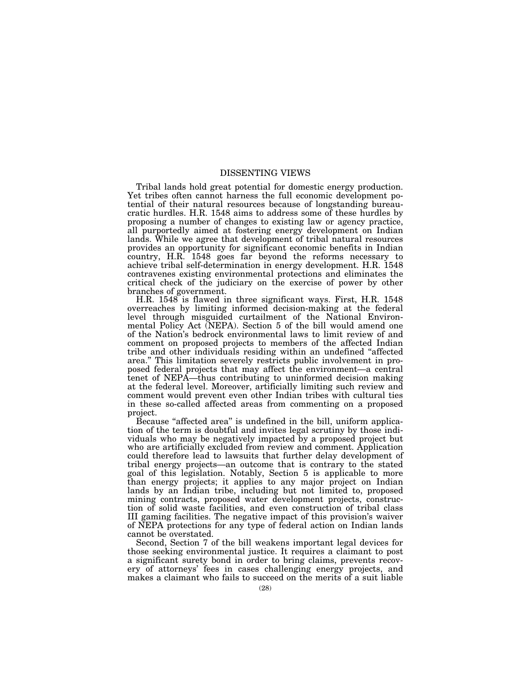## DISSENTING VIEWS

Tribal lands hold great potential for domestic energy production. Yet tribes often cannot harness the full economic development potential of their natural resources because of longstanding bureaucratic hurdles. H.R. 1548 aims to address some of these hurdles by proposing a number of changes to existing law or agency practice, all purportedly aimed at fostering energy development on Indian lands. While we agree that development of tribal natural resources provides an opportunity for significant economic benefits in Indian country, H.R. 1548 goes far beyond the reforms necessary to achieve tribal self-determination in energy development. H.R. 1548 contravenes existing environmental protections and eliminates the critical check of the judiciary on the exercise of power by other branches of government.

H.R. 1548 is flawed in three significant ways. First, H.R. 1548 overreaches by limiting informed decision-making at the federal level through misguided curtailment of the National Environmental Policy Act (NEPA). Section 5 of the bill would amend one of the Nation's bedrock environmental laws to limit review of and comment on proposed projects to members of the affected Indian tribe and other individuals residing within an undefined ''affected area.'' This limitation severely restricts public involvement in proposed federal projects that may affect the environment—a central tenet of NEPA—thus contributing to uninformed decision making at the federal level. Moreover, artificially limiting such review and comment would prevent even other Indian tribes with cultural ties in these so-called affected areas from commenting on a proposed project.

Because "affected area" is undefined in the bill, uniform application of the term is doubtful and invites legal scrutiny by those individuals who may be negatively impacted by a proposed project but who are artificially excluded from review and comment. Application could therefore lead to lawsuits that further delay development of tribal energy projects—an outcome that is contrary to the stated goal of this legislation. Notably, Section 5 is applicable to more than energy projects; it applies to any major project on Indian lands by an Indian tribe, including but not limited to, proposed mining contracts, proposed water development projects, construction of solid waste facilities, and even construction of tribal class III gaming facilities. The negative impact of this provision's waiver of NEPA protections for any type of federal action on Indian lands cannot be overstated.

Second, Section 7 of the bill weakens important legal devices for those seeking environmental justice. It requires a claimant to post a significant surety bond in order to bring claims, prevents recovery of attorneys' fees in cases challenging energy projects, and makes a claimant who fails to succeed on the merits of a suit liable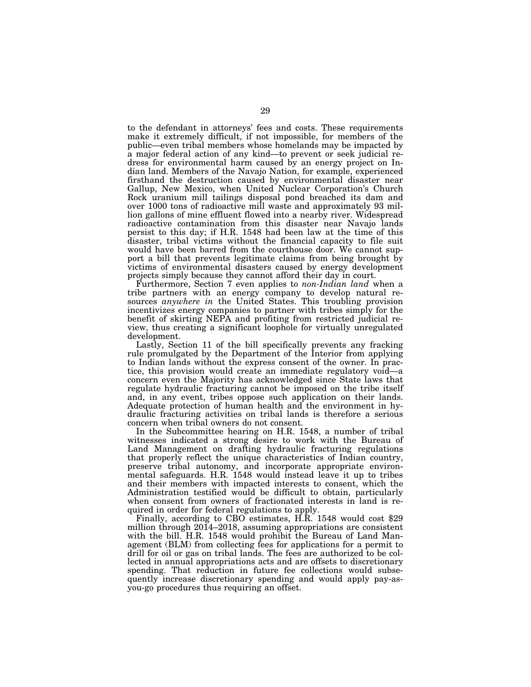to the defendant in attorneys' fees and costs. These requirements make it extremely difficult, if not impossible, for members of the public—even tribal members whose homelands may be impacted by a major federal action of any kind—to prevent or seek judicial redress for environmental harm caused by an energy project on Indian land. Members of the Navajo Nation, for example, experienced firsthand the destruction caused by environmental disaster near Gallup, New Mexico, when United Nuclear Corporation's Church Rock uranium mill tailings disposal pond breached its dam and over 1000 tons of radioactive mill waste and approximately 93 million gallons of mine effluent flowed into a nearby river. Widespread radioactive contamination from this disaster near Navajo lands persist to this day; if H.R. 1548 had been law at the time of this disaster, tribal victims without the financial capacity to file suit would have been barred from the courthouse door. We cannot support a bill that prevents legitimate claims from being brought by victims of environmental disasters caused by energy development projects simply because they cannot afford their day in court.

Furthermore, Section 7 even applies to *non-Indian land* when a tribe partners with an energy company to develop natural resources *anywhere in* the United States. This troubling provision incentivizes energy companies to partner with tribes simply for the benefit of skirting NEPA and profiting from restricted judicial review, thus creating a significant loophole for virtually unregulated development.

Lastly, Section 11 of the bill specifically prevents any fracking rule promulgated by the Department of the Interior from applying to Indian lands without the express consent of the owner. In practice, this provision would create an immediate regulatory void—a concern even the Majority has acknowledged since State laws that regulate hydraulic fracturing cannot be imposed on the tribe itself and, in any event, tribes oppose such application on their lands. Adequate protection of human health and the environment in hydraulic fracturing activities on tribal lands is therefore a serious concern when tribal owners do not consent.

In the Subcommittee hearing on H.R. 1548, a number of tribal witnesses indicated a strong desire to work with the Bureau of Land Management on drafting hydraulic fracturing regulations that properly reflect the unique characteristics of Indian country, preserve tribal autonomy, and incorporate appropriate environmental safeguards. H.R. 1548 would instead leave it up to tribes and their members with impacted interests to consent, which the Administration testified would be difficult to obtain, particularly when consent from owners of fractionated interests in land is required in order for federal regulations to apply.

Finally, according to CBO estimates, H.R. 1548 would cost \$29 million through 2014–2018, assuming appropriations are consistent with the bill. H.R. 1548 would prohibit the Bureau of Land Management (BLM) from collecting fees for applications for a permit to drill for oil or gas on tribal lands. The fees are authorized to be collected in annual appropriations acts and are offsets to discretionary spending. That reduction in future fee collections would subsequently increase discretionary spending and would apply pay-asyou-go procedures thus requiring an offset.